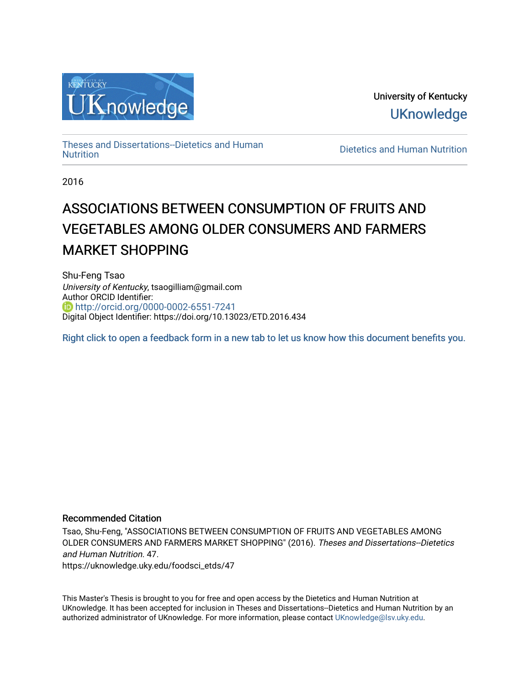

University of Kentucky **UKnowledge** 

[Theses and Dissertations--Dietetics and Human](https://uknowledge.uky.edu/foodsci_etds)

Dietetics and Human [Nutrition](https://uknowledge.uky.edu/foodsci_etds)

2016

# ASSOCIATIONS BETWEEN CONSUMPTION OF FRUITS AND VEGETABLES AMONG OLDER CONSUMERS AND FARMERS MARKET SHOPPING

Shu-Feng Tsao University of Kentucky, tsaogilliam@gmail.com Author ORCID Identifier: <http://orcid.org/0000-0002-6551-7241> Digital Object Identifier: https://doi.org/10.13023/ETD.2016.434

[Right click to open a feedback form in a new tab to let us know how this document benefits you.](https://uky.az1.qualtrics.com/jfe/form/SV_9mq8fx2GnONRfz7)

#### Recommended Citation

Tsao, Shu-Feng, "ASSOCIATIONS BETWEEN CONSUMPTION OF FRUITS AND VEGETABLES AMONG OLDER CONSUMERS AND FARMERS MARKET SHOPPING" (2016). Theses and Dissertations--Dietetics and Human Nutrition. 47.

https://uknowledge.uky.edu/foodsci\_etds/47

This Master's Thesis is brought to you for free and open access by the Dietetics and Human Nutrition at UKnowledge. It has been accepted for inclusion in Theses and Dissertations--Dietetics and Human Nutrition by an authorized administrator of UKnowledge. For more information, please contact [UKnowledge@lsv.uky.edu](mailto:UKnowledge@lsv.uky.edu).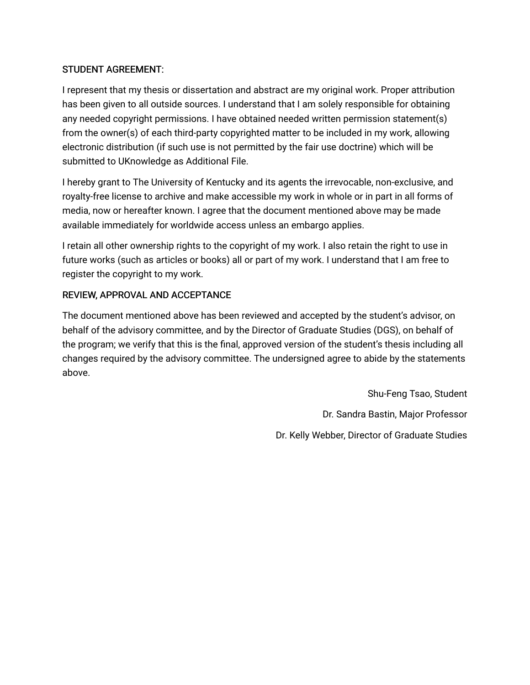## STUDENT AGREEMENT:

I represent that my thesis or dissertation and abstract are my original work. Proper attribution has been given to all outside sources. I understand that I am solely responsible for obtaining any needed copyright permissions. I have obtained needed written permission statement(s) from the owner(s) of each third-party copyrighted matter to be included in my work, allowing electronic distribution (if such use is not permitted by the fair use doctrine) which will be submitted to UKnowledge as Additional File.

I hereby grant to The University of Kentucky and its agents the irrevocable, non-exclusive, and royalty-free license to archive and make accessible my work in whole or in part in all forms of media, now or hereafter known. I agree that the document mentioned above may be made available immediately for worldwide access unless an embargo applies.

I retain all other ownership rights to the copyright of my work. I also retain the right to use in future works (such as articles or books) all or part of my work. I understand that I am free to register the copyright to my work.

## REVIEW, APPROVAL AND ACCEPTANCE

The document mentioned above has been reviewed and accepted by the student's advisor, on behalf of the advisory committee, and by the Director of Graduate Studies (DGS), on behalf of the program; we verify that this is the final, approved version of the student's thesis including all changes required by the advisory committee. The undersigned agree to abide by the statements above.

> Shu-Feng Tsao, Student Dr. Sandra Bastin, Major Professor Dr. Kelly Webber, Director of Graduate Studies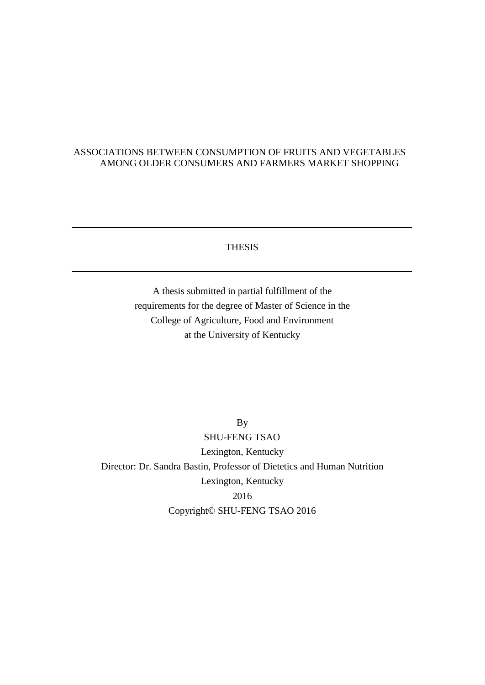## ASSOCIATIONS BETWEEN CONSUMPTION OF FRUITS AND VEGETABLES AMONG OLDER CONSUMERS AND FARMERS MARKET SHOPPING

### THESIS

A thesis submitted in partial fulfillment of the requirements for the degree of Master of Science in the College of Agriculture, Food and Environment at the University of Kentucky

By SHU-FENG TSAO Lexington, Kentucky Director: Dr. Sandra Bastin, Professor of Dietetics and Human Nutrition Lexington, Kentucky 2016 Copyright© SHU-FENG TSAO 2016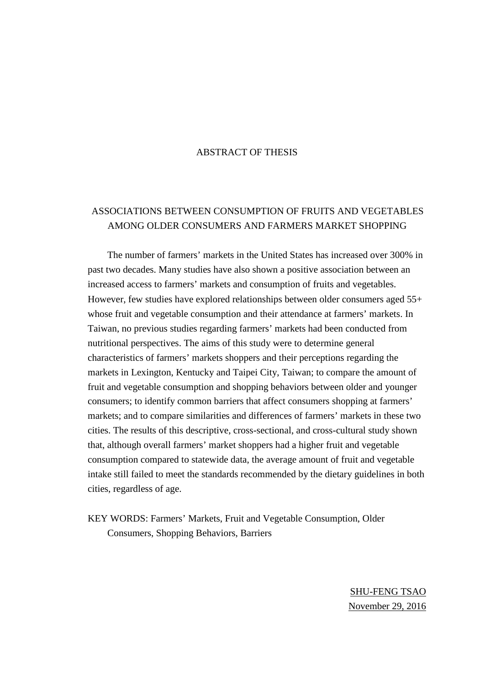#### ABSTRACT OF THESIS

## ASSOCIATIONS BETWEEN CONSUMPTION OF FRUITS AND VEGETABLES AMONG OLDER CONSUMERS AND FARMERS MARKET SHOPPING

The number of farmers' markets in the United States has increased over 300% in past two decades. Many studies have also shown a positive association between an increased access to farmers' markets and consumption of fruits and vegetables. However, few studies have explored relationships between older consumers aged 55+ whose fruit and vegetable consumption and their attendance at farmers' markets. In Taiwan, no previous studies regarding farmers' markets had been conducted from nutritional perspectives. The aims of this study were to determine general characteristics of farmers' markets shoppers and their perceptions regarding the markets in Lexington, Kentucky and Taipei City, Taiwan; to compare the amount of fruit and vegetable consumption and shopping behaviors between older and younger consumers; to identify common barriers that affect consumers shopping at farmers' markets; and to compare similarities and differences of farmers' markets in these two cities. The results of this descriptive, cross-sectional, and cross-cultural study shown that, although overall farmers' market shoppers had a higher fruit and vegetable consumption compared to statewide data, the average amount of fruit and vegetable intake still failed to meet the standards recommended by the dietary guidelines in both cities, regardless of age.

KEY WORDS: Farmers' Markets, Fruit and Vegetable Consumption, Older Consumers, Shopping Behaviors, Barriers

> SHU-FENG TSAO November 29, 2016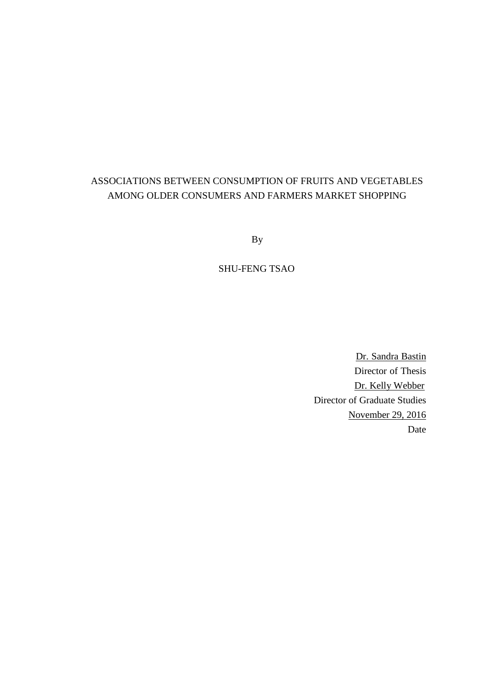# ASSOCIATIONS BETWEEN CONSUMPTION OF FRUITS AND VEGETABLES AMONG OLDER CONSUMERS AND FARMERS MARKET SHOPPING

By

SHU-FENG TSAO

Dr. Sandra Bastin Director of Thesis Dr. Kelly Webber Director of Graduate Studies November 29, 2016 Date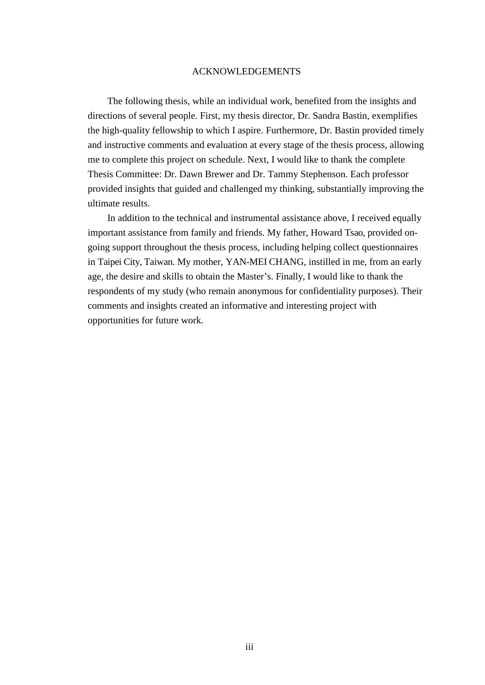## ACKNOWLEDGEMENTS

The following thesis, while an individual work, benefited from the insights and directions of several people. First, my thesis director, Dr. Sandra Bastin, exemplifies the high-quality fellowship to which I aspire. Furthermore, Dr. Bastin provided timely and instructive comments and evaluation at every stage of the thesis process, allowing me to complete this project on schedule. Next, I would like to thank the complete Thesis Committee: Dr. Dawn Brewer and Dr. Tammy Stephenson. Each professor provided insights that guided and challenged my thinking, substantially improving the ultimate results.

In addition to the technical and instrumental assistance above, I received equally important assistance from family and friends. My father, Howard Tsao, provided ongoing support throughout the thesis process, including helping collect questionnaires in Taipei City, Taiwan. My mother, YAN-MEI CHANG, instilled in me, from an early age, the desire and skills to obtain the Master's. Finally, I would like to thank the respondents of my study (who remain anonymous for confidentiality purposes). Their comments and insights created an informative and interesting project with opportunities for future work.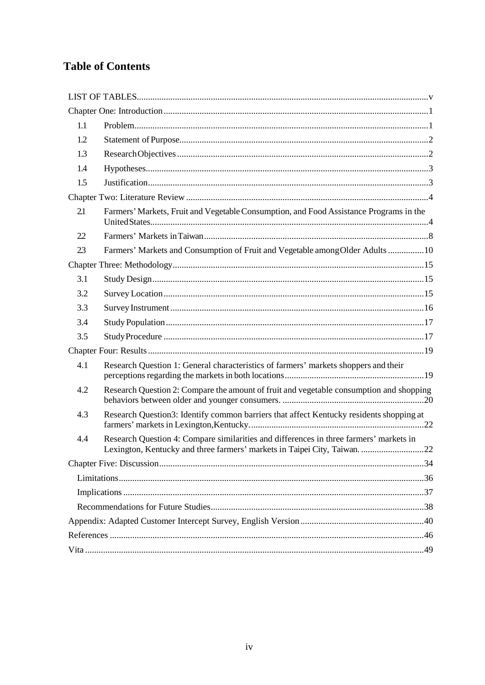# **Table of Contents**

| 1.1 |                                                                                                                                                                   |
|-----|-------------------------------------------------------------------------------------------------------------------------------------------------------------------|
| 1.2 |                                                                                                                                                                   |
| 1.3 |                                                                                                                                                                   |
| 1.4 |                                                                                                                                                                   |
| 1.5 |                                                                                                                                                                   |
|     |                                                                                                                                                                   |
| 2.1 | Farmers' Markets, Fruit and Vegetable Consumption, and Food Assistance Programs in the                                                                            |
| 22  |                                                                                                                                                                   |
| 23  | Farmers' Markets and Consumption of Fruit and Vegetable among Older Adults 10                                                                                     |
|     |                                                                                                                                                                   |
| 3.1 |                                                                                                                                                                   |
| 3.2 |                                                                                                                                                                   |
| 3.3 |                                                                                                                                                                   |
| 3.4 |                                                                                                                                                                   |
| 3.5 |                                                                                                                                                                   |
|     |                                                                                                                                                                   |
| 4.1 | Research Question 1: General characteristics of farmers' markets shoppers and their                                                                               |
| 4.2 | Research Question 2: Compare the amount of fruit and vegetable consumption and shopping                                                                           |
| 4.3 | Research Question3: Identify common barriers that affect Kentucky residents shopping at                                                                           |
| 4.4 | Research Question 4: Compare similarities and differences in three farmers' markets in<br>Lexington, Kentucky and three farmers' markets in Taipei City, Taiwan22 |
|     |                                                                                                                                                                   |
|     |                                                                                                                                                                   |
|     |                                                                                                                                                                   |
|     |                                                                                                                                                                   |
|     |                                                                                                                                                                   |
|     |                                                                                                                                                                   |
|     |                                                                                                                                                                   |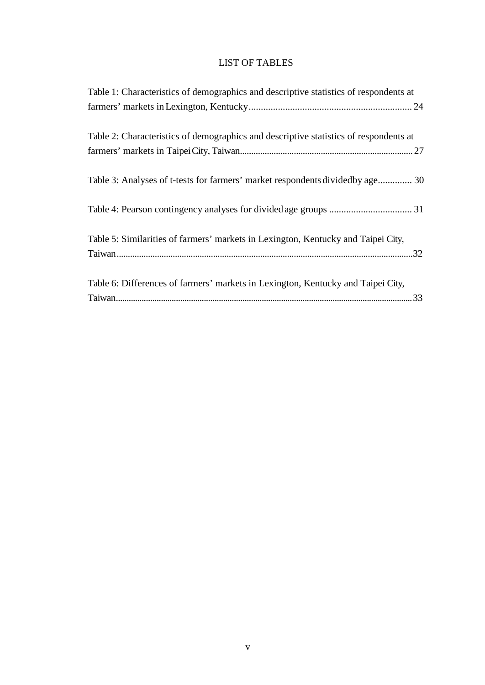## LIST OF TABLES

<span id="page-7-0"></span>

| Table 1: Characteristics of demographics and descriptive statistics of respondents at |
|---------------------------------------------------------------------------------------|
|                                                                                       |
| Table 2: Characteristics of demographics and descriptive statistics of respondents at |
|                                                                                       |
| Table 3: Analyses of t-tests for farmers' market respondents divided by age 30        |
|                                                                                       |
| Table 5: Similarities of farmers' markets in Lexington, Kentucky and Taipei City,     |
|                                                                                       |
| Table 6: Differences of farmers' markets in Lexington, Kentucky and Taipei City,      |
|                                                                                       |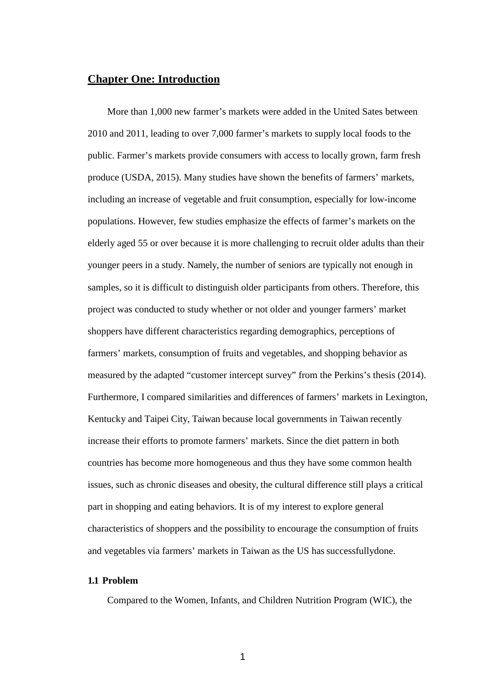## <span id="page-8-0"></span>**Chapter One: Introduction**

More than 1,000 new farmer's markets were added in the United Sates between 2010 and 2011, leading to over 7,000 farmer's markets to supply local foods to the public. Farmer's markets provide consumers with access to locally grown, farm fresh produce (USDA, 2015). Many studies have shown the benefits of farmers' markets, including an increase of vegetable and fruit consumption, especially for low-income populations. However, few studies emphasize the effects of farmer's markets on the elderly aged 55 or over because it is more challenging to recruit older adults than their younger peers in a study. Namely, the number of seniors are typically not enough in samples, so it is difficult to distinguish older participants from others. Therefore, this project was conducted to study whether or not older and younger farmers' market shoppers have different characteristics regarding demographics, perceptions of farmers' markets, consumption of fruits and vegetables, and shopping behavior as measured by the adapted "customer intercept survey" from the Perkins's thesis (2014). Furthermore, I compared similarities and differences of farmers' markets in Lexington, Kentucky and Taipei City, Taiwan because local governments in Taiwan recently increase their efforts to promote farmers' markets. Since the diet pattern in both countries has become more homogeneous and thus they have some common health issues, such as chronic diseases and obesity, the cultural difference still plays a critical part in shopping and eating behaviors. It is of my interest to explore general characteristics of shoppers and the possibility to encourage the consumption of fruits and vegetables via farmers' markets in Taiwan as the US has successfullydone.

#### <span id="page-8-1"></span>**1.1 Problem**

Compared to the Women, Infants, and Children Nutrition Program (WIC), the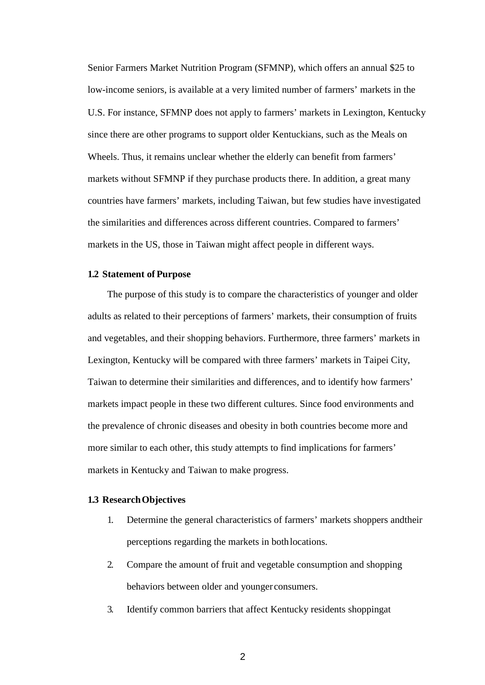Senior Farmers Market Nutrition Program (SFMNP), which offers an annual \$25 to low-income seniors, is available at a very limited number of farmers' markets in the U.S. For instance, SFMNP does not apply to farmers' markets in Lexington, Kentucky since there are other programs to support older Kentuckians, such as the Meals on Wheels. Thus, it remains unclear whether the elderly can benefit from farmers' markets without SFMNP if they purchase products there. In addition, a great many countries have farmers' markets, including Taiwan, but few studies have investigated the similarities and differences across different countries. Compared to farmers' markets in the US, those in Taiwan might affect people in different ways.

#### <span id="page-9-0"></span>**1.2 Statement of Purpose**

The purpose of this study is to compare the characteristics of younger and older adults as related to their perceptions of farmers' markets, their consumption of fruits and vegetables, and their shopping behaviors. Furthermore, three farmers' markets in Lexington, Kentucky will be compared with three farmers' markets in Taipei City, Taiwan to determine their similarities and differences, and to identify how farmers' markets impact people in these two different cultures. Since food environments and the prevalence of chronic diseases and obesity in both countries become more and more similar to each other, this study attempts to find implications for farmers' markets in Kentucky and Taiwan to make progress.

#### <span id="page-9-1"></span>**1.3 ResearchObjectives**

- 1. Determine the general characteristics of farmers' markets shoppers andtheir perceptions regarding the markets in bothlocations.
- 2. Compare the amount of fruit and vegetable consumption and shopping behaviors between older and younger consumers.
- 3. Identify common barriers that affect Kentucky residents shoppingat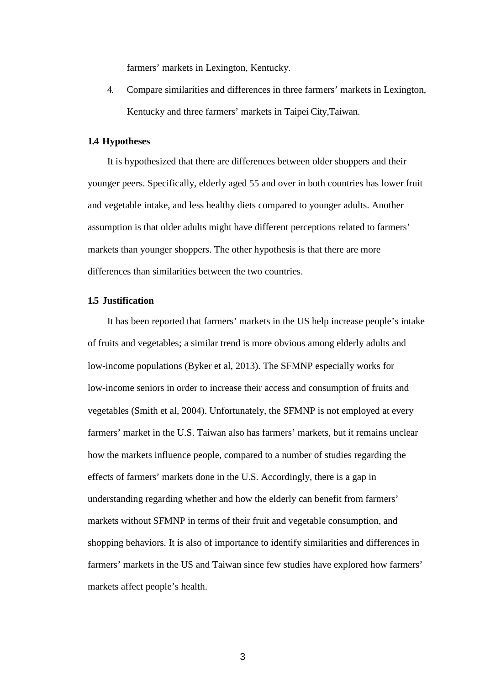farmers' markets in Lexington, Kentucky.

4. Compare similarities and differences in three farmers' markets in Lexington, Kentucky and three farmers' markets in Taipei City,Taiwan.

#### <span id="page-10-0"></span>**1.4 Hypotheses**

It is hypothesized that there are differences between older shoppers and their younger peers. Specifically, elderly aged 55 and over in both countries has lower fruit and vegetable intake, and less healthy diets compared to younger adults. Another assumption is that older adults might have different perceptions related to farmers' markets than younger shoppers. The other hypothesis is that there are more differences than similarities between the two countries.

### <span id="page-10-1"></span>**1.5 Justification**

It has been reported that farmers' markets in the US help increase people's intake of fruits and vegetables; a similar trend is more obvious among elderly adults and low-income populations (Byker et al, 2013). The SFMNP especially works for low-income seniors in order to increase their access and consumption of fruits and vegetables (Smith et al, 2004). Unfortunately, the SFMNP is not employed at every farmers' market in the U.S. Taiwan also has farmers' markets, but it remains unclear how the markets influence people, compared to a number of studies regarding the effects of farmers' markets done in the U.S. Accordingly, there is a gap in understanding regarding whether and how the elderly can benefit from farmers' markets without SFMNP in terms of their fruit and vegetable consumption, and shopping behaviors. It is also of importance to identify similarities and differences in farmers' markets in the US and Taiwan since few studies have explored how farmers' markets affect people's health.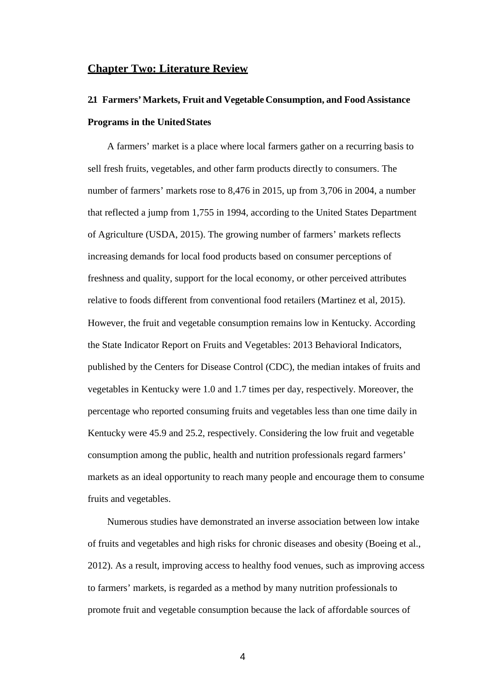## <span id="page-11-0"></span>**Chapter Two: Literature Review**

# <span id="page-11-1"></span>**2.1 Farmers'Markets, Fruit and Vegetable Consumption, and Food Assistance Programs in the UnitedStates**

A farmers' market is a place where local farmers gather on a recurring basis to sell fresh fruits, vegetables, and other farm products directly to consumers. The number of farmers' markets rose to 8,476 in 2015, up from 3,706 in 2004, a number that reflected a jump from 1,755 in 1994, according to the United States Department of Agriculture (USDA, 2015). The growing number of farmers' markets reflects increasing demands for local food products based on consumer perceptions of freshness and quality, support for the local economy, or other perceived attributes relative to foods different from conventional food retailers (Martinez et al, 2015). However, the fruit and vegetable consumption remains low in Kentucky. According the State Indicator Report on Fruits and Vegetables: 2013 Behavioral Indicators, published by the Centers for Disease Control (CDC), the median intakes of fruits and vegetables in Kentucky were 1.0 and 1.7 times per day, respectively. Moreover, the percentage who reported consuming fruits and vegetables less than one time daily in Kentucky were 45.9 and 25.2, respectively. Considering the low fruit and vegetable consumption among the public, health and nutrition professionals regard farmers' markets as an ideal opportunity to reach many people and encourage them to consume fruits and vegetables.

Numerous studies have demonstrated an inverse association between low intake of fruits and vegetables and high risks for chronic diseases and obesity (Boeing et al., 2012). As a result, improving access to healthy food venues, such as improving access to farmers' markets, is regarded as a method by many nutrition professionals to promote fruit and vegetable consumption because the lack of affordable sources of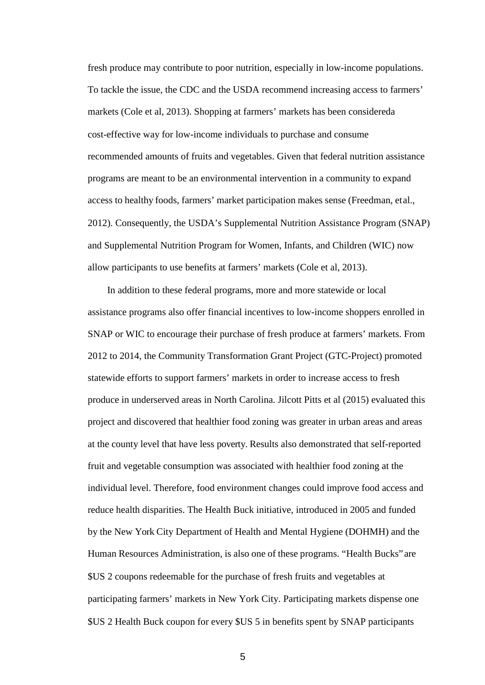fresh produce may contribute to poor nutrition, especially in low-income populations. To tackle the issue, the CDC and the USDA recommend increasing access to farmers' markets (Cole et al, 2013). Shopping at farmers' markets has been considereda cost-effective way for low-income individuals to purchase and consume recommended amounts of fruits and vegetables. Given that federal nutrition assistance programs are meant to be an environmental intervention in a community to expand access to healthy foods, farmers' market participation makes sense (Freedman, etal., 2012). Consequently, the USDA's Supplemental Nutrition Assistance Program (SNAP) and Supplemental Nutrition Program for Women, Infants, and Children (WIC) now allow participants to use benefits at farmers' markets (Cole et al, 2013).

In addition to these federal programs, more and more statewide or local assistance programs also offer financial incentives to low-income shoppers enrolled in SNAP or WIC to encourage their purchase of fresh produce at farmers' markets. From 2012 to 2014, the Community Transformation Grant Project (GTC-Project) promoted statewide efforts to support farmers' markets in order to increase access to fresh produce in underserved areas in North Carolina. Jilcott Pitts et al (2015) evaluated this project and discovered that healthier food zoning was greater in urban areas and areas at the county level that have less poverty. Results also demonstrated that self-reported fruit and vegetable consumption was associated with healthier food zoning at the individual level. Therefore, food environment changes could improve food access and reduce health disparities. The Health Buck initiative, introduced in 2005 and funded by the New York City Department of Health and Mental Hygiene (DOHMH) and the Human Resources Administration, is also one of these programs. "Health Bucks" are \$US 2 coupons redeemable for the purchase of fresh fruits and vegetables at participating farmers' markets in New York City. Participating markets dispense one \$US 2 Health Buck coupon for every \$US 5 in benefits spent by SNAP participants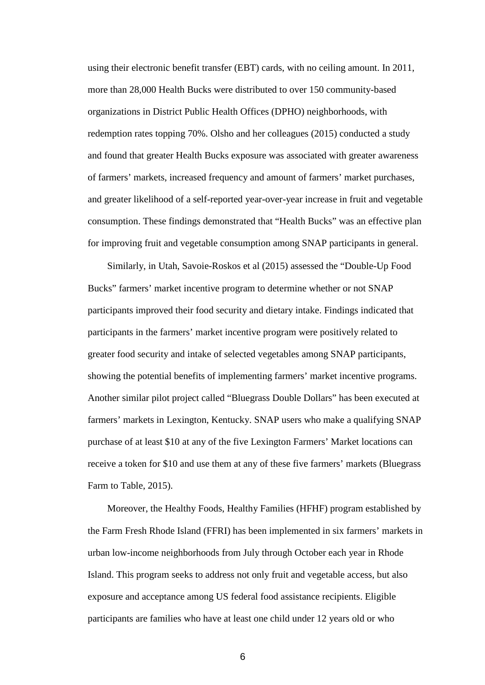using their electronic benefit transfer (EBT) cards, with no ceiling amount. In 2011, more than 28,000 Health Bucks were distributed to over 150 community-based organizations in District Public Health Offices (DPHO) neighborhoods, with redemption rates topping 70%. Olsho and her colleagues (2015) conducted a study and found that greater Health Bucks exposure was associated with greater awareness of farmers' markets, increased frequency and amount of farmers' market purchases, and greater likelihood of a self-reported year-over-year increase in fruit and vegetable consumption. These findings demonstrated that "Health Bucks" was an effective plan for improving fruit and vegetable consumption among SNAP participants in general.

Similarly, in Utah, Savoie-Roskos et al (2015) assessed the "Double-Up Food Bucks" farmers' market incentive program to determine whether or not SNAP participants improved their food security and dietary intake. Findings indicated that participants in the farmers' market incentive program were positively related to greater food security and intake of selected vegetables among SNAP participants, showing the potential benefits of implementing farmers' market incentive programs. Another similar pilot project called "Bluegrass Double Dollars" has been executed at farmers' markets in Lexington, Kentucky. SNAP users who make a qualifying SNAP purchase of at least \$10 at any of the five Lexington Farmers' Market locations can receive a token for \$10 and use them at any of these five farmers' markets (Bluegrass Farm to Table, 2015).

Moreover, the Healthy Foods, Healthy Families (HFHF) program established by the Farm Fresh Rhode Island (FFRI) has been implemented in six farmers' markets in urban low-income neighborhoods from July through October each year in Rhode Island. This program seeks to address not only fruit and vegetable access, but also exposure and acceptance among US federal food assistance recipients. Eligible participants are families who have at least one child under 12 years old or who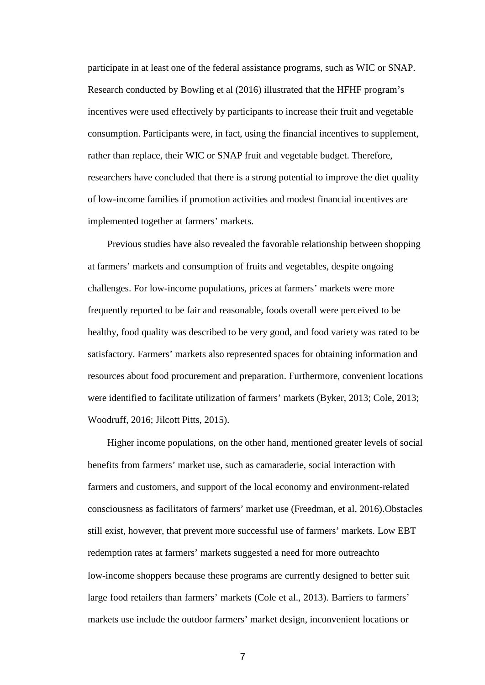participate in at least one of the federal assistance programs, such as WIC or SNAP. Research conducted by Bowling et al (2016) illustrated that the HFHF program's incentives were used effectively by participants to increase their fruit and vegetable consumption. Participants were, in fact, using the financial incentives to supplement, rather than replace, their WIC or SNAP fruit and vegetable budget. Therefore, researchers have concluded that there is a strong potential to improve the diet quality of low-income families if promotion activities and modest financial incentives are implemented together at farmers' markets.

Previous studies have also revealed the favorable relationship between shopping at farmers' markets and consumption of fruits and vegetables, despite ongoing challenges. For low-income populations, prices at farmers' markets were more frequently reported to be fair and reasonable, foods overall were perceived to be healthy, food quality was described to be very good, and food variety was rated to be satisfactory. Farmers' markets also represented spaces for obtaining information and resources about food procurement and preparation. Furthermore, convenient locations were identified to facilitate utilization of farmers' markets (Byker, 2013; Cole, 2013; Woodruff, 2016; Jilcott Pitts, 2015).

Higher income populations, on the other hand, mentioned greater levels of social benefits from farmers' market use, such as camaraderie, social interaction with farmers and customers, and support of the local economy and environment-related consciousness as facilitators of farmers' market use (Freedman, et al, 2016).Obstacles still exist, however, that prevent more successful use of farmers' markets. Low EBT redemption rates at farmers' markets suggested a need for more outreachto low-income shoppers because these programs are currently designed to better suit large food retailers than farmers' markets (Cole et al., 2013). Barriers to farmers' markets use include the outdoor farmers' market design, inconvenient locations or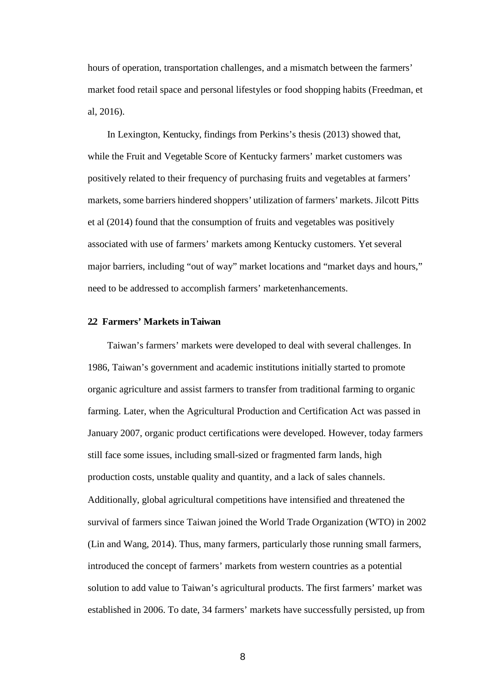hours of operation, transportation challenges, and a mismatch between the farmers' market food retail space and personal lifestyles or food shopping habits (Freedman, et al, 2016).

In Lexington, Kentucky, findings from Perkins's thesis (2013) showed that, while the Fruit and Vegetable Score of Kentucky farmers' market customers was positively related to their frequency of purchasing fruits and vegetables at farmers' markets, some barriers hindered shoppers' utilization of farmers' markets. Jilcott Pitts et al (2014) found that the consumption of fruits and vegetables was positively associated with use of farmers' markets among Kentucky customers. Yet several major barriers, including "out of way" market locations and "market days and hours," need to be addressed to accomplish farmers' marketenhancements.

#### <span id="page-15-0"></span>**2.2 Farmers' Markets inTaiwan**

Taiwan's farmers' markets were developed to deal with several challenges. In 1986, Taiwan's government and academic institutions initially started to promote organic agriculture and assist farmers to transfer from traditional farming to organic farming. Later, when the Agricultural Production and Certification Act was passed in January 2007, organic product certifications were developed. However, today farmers still face some issues, including small-sized or fragmented farm lands, high production costs, unstable quality and quantity, and a lack of sales channels. Additionally, global agricultural competitions have intensified and threatened the survival of farmers since Taiwan joined the World Trade Organization (WTO) in 2002 (Lin and Wang, 2014). Thus, many farmers, particularly those running small farmers, introduced the concept of farmers' markets from western countries as a potential solution to add value to Taiwan's agricultural products. The first farmers' market was established in 2006. To date, 34 farmers' markets have successfully persisted, up from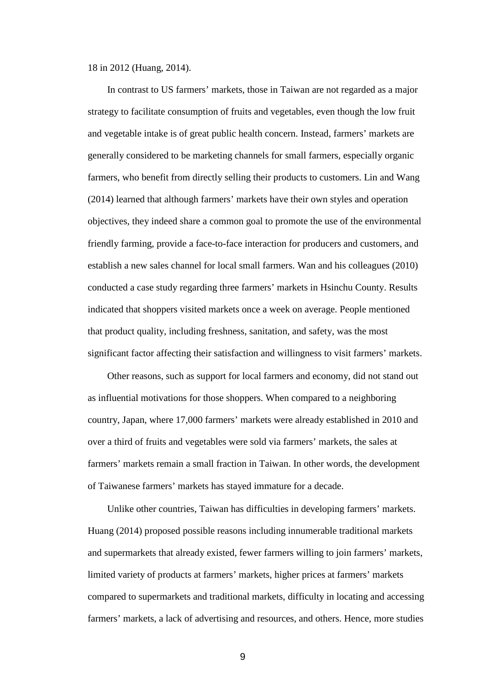18 in 2012 (Huang, 2014).

In contrast to US farmers' markets, those in Taiwan are not regarded as a major strategy to facilitate consumption of fruits and vegetables, even though the low fruit and vegetable intake is of great public health concern. Instead, farmers' markets are generally considered to be marketing channels for small farmers, especially organic farmers, who benefit from directly selling their products to customers. Lin and Wang (2014) learned that although farmers' markets have their own styles and operation objectives, they indeed share a common goal to promote the use of the environmental friendly farming, provide a face-to-face interaction for producers and customers, and establish a new sales channel for local small farmers. Wan and his colleagues (2010) conducted a case study regarding three farmers' markets in Hsinchu County. Results indicated that shoppers visited markets once a week on average. People mentioned that product quality, including freshness, sanitation, and safety, was the most significant factor affecting their satisfaction and willingness to visit farmers' markets.

Other reasons, such as support for local farmers and economy, did not stand out as influential motivations for those shoppers. When compared to a neighboring country, Japan, where 17,000 farmers' markets were already established in 2010 and over a third of fruits and vegetables were sold via farmers' markets, the sales at farmers' markets remain a small fraction in Taiwan. In other words, the development of Taiwanese farmers' markets has stayed immature for a decade.

Unlike other countries, Taiwan has difficulties in developing farmers' markets. Huang (2014) proposed possible reasons including innumerable traditional markets and supermarkets that already existed, fewer farmers willing to join farmers' markets, limited variety of products at farmers' markets, higher prices at farmers' markets compared to supermarkets and traditional markets, difficulty in locating and accessing farmers' markets, a lack of advertising and resources, and others. Hence, more studies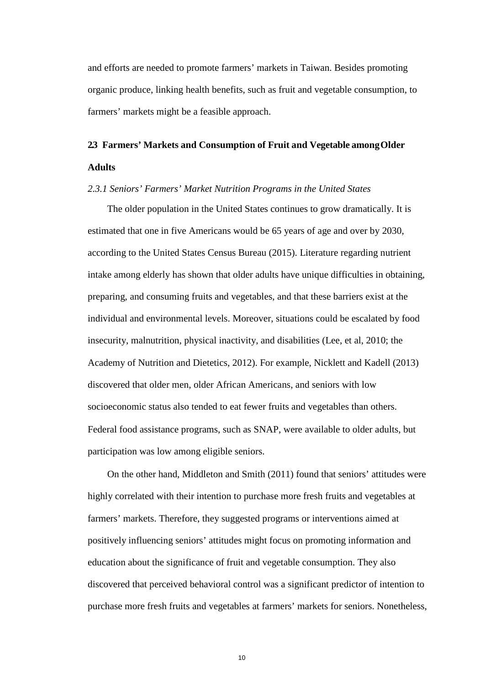and efforts are needed to promote farmers' markets in Taiwan. Besides promoting organic produce, linking health benefits, such as fruit and vegetable consumption, to farmers' markets might be a feasible approach.

# <span id="page-17-0"></span>**2.3 Farmers' Markets and Consumption of Fruit and Vegetable amongOlder Adults**

#### *2.3.1 Seniors' Farmers' Market Nutrition Programs in the United States*

The older population in the United States continues to grow dramatically. It is estimated that one in five Americans would be 65 years of age and over by 2030, according to the United States Census Bureau (2015). Literature regarding nutrient intake among elderly has shown that older adults have unique difficulties in obtaining, preparing, and consuming fruits and vegetables, and that these barriers exist at the individual and environmental levels. Moreover, situations could be escalated by food insecurity, malnutrition, physical inactivity, and disabilities (Lee, et al, 2010; the Academy of Nutrition and Dietetics, 2012). For example, Nicklett and Kadell (2013) discovered that older men, older African Americans, and seniors with low socioeconomic status also tended to eat fewer fruits and vegetables than others. Federal food assistance programs, such as SNAP, were available to older adults, but participation was low among eligible seniors.

On the other hand, Middleton and Smith (2011) found that seniors' attitudes were highly correlated with their intention to purchase more fresh fruits and vegetables at farmers' markets. Therefore, they suggested programs or interventions aimed at positively influencing seniors' attitudes might focus on promoting information and education about the significance of fruit and vegetable consumption. They also discovered that perceived behavioral control was a significant predictor of intention to purchase more fresh fruits and vegetables at farmers' markets for seniors. Nonetheless,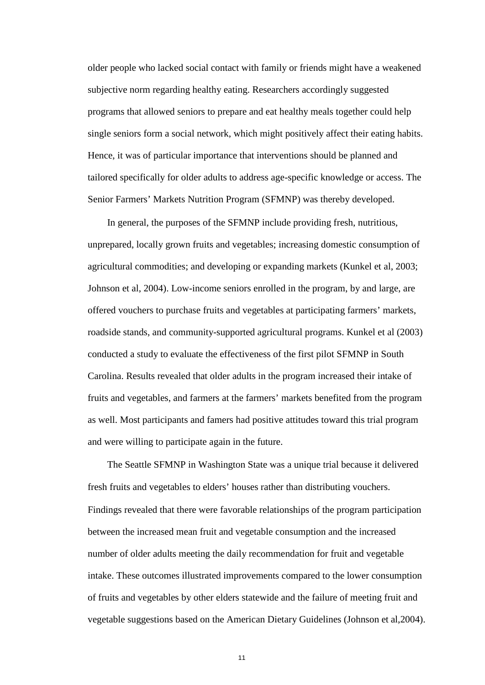older people who lacked social contact with family or friends might have a weakened subjective norm regarding healthy eating. Researchers accordingly suggested programs that allowed seniors to prepare and eat healthy meals together could help single seniors form a social network, which might positively affect their eating habits. Hence, it was of particular importance that interventions should be planned and tailored specifically for older adults to address age-specific knowledge or access. The Senior Farmers' Markets Nutrition Program (SFMNP) was thereby developed.

In general, the purposes of the SFMNP include providing fresh, nutritious, unprepared, locally grown fruits and vegetables; increasing domestic consumption of agricultural commodities; and developing or expanding markets (Kunkel et al, 2003; Johnson et al, 2004). Low-income seniors enrolled in the program, by and large, are offered vouchers to purchase fruits and vegetables at participating farmers' markets, roadside stands, and community-supported agricultural programs. Kunkel et al (2003) conducted a study to evaluate the effectiveness of the first pilot SFMNP in South Carolina. Results revealed that older adults in the program increased their intake of fruits and vegetables, and farmers at the farmers' markets benefited from the program as well. Most participants and famers had positive attitudes toward this trial program and were willing to participate again in the future.

The Seattle SFMNP in Washington State was a unique trial because it delivered fresh fruits and vegetables to elders' houses rather than distributing vouchers. Findings revealed that there were favorable relationships of the program participation between the increased mean fruit and vegetable consumption and the increased number of older adults meeting the daily recommendation for fruit and vegetable intake. These outcomes illustrated improvements compared to the lower consumption of fruits and vegetables by other elders statewide and the failure of meeting fruit and vegetable suggestions based on the American Dietary Guidelines (Johnson et al,2004).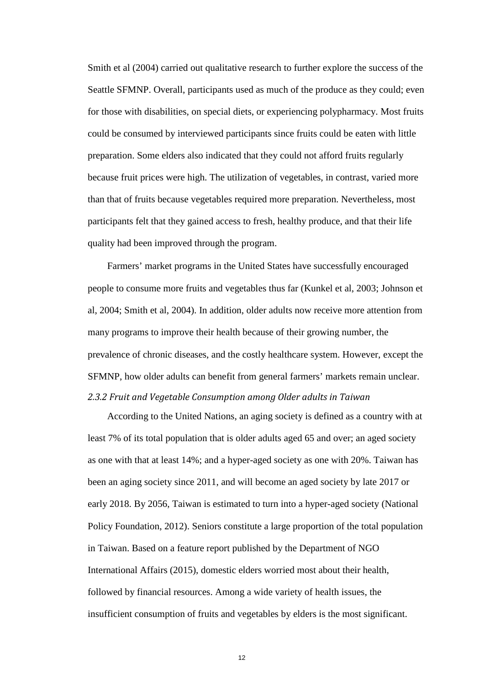Smith et al (2004) carried out qualitative research to further explore the success of the Seattle SFMNP. Overall, participants used as much of the produce as they could; even for those with disabilities, on special diets, or experiencing polypharmacy. Most fruits could be consumed by interviewed participants since fruits could be eaten with little preparation. Some elders also indicated that they could not afford fruits regularly because fruit prices were high. The utilization of vegetables, in contrast, varied more than that of fruits because vegetables required more preparation. Nevertheless, most participants felt that they gained access to fresh, healthy produce, and that their life quality had been improved through the program.

Farmers' market programs in the United States have successfully encouraged people to consume more fruits and vegetables thus far (Kunkel et al, 2003; Johnson et al, 2004; Smith et al, 2004). In addition, older adults now receive more attention from many programs to improve their health because of their growing number, the prevalence of chronic diseases, and the costly healthcare system. However, except the SFMNP, how older adults can benefit from general farmers' markets remain unclear. *2.3.2 Fruit and Vegetable Consumption among Older adults in Taiwan*

According to the United Nations, an aging society is defined as a country with at least 7% of its total population that is older adults aged 65 and over; an aged society as one with that at least 14%; and a hyper-aged society as one with 20%. Taiwan has been an aging society since 2011, and will become an aged society by late 2017 or early 2018. By 2056, Taiwan is estimated to turn into a hyper-aged society (National Policy Foundation, 2012). Seniors constitute a large proportion of the total population in Taiwan. Based on a feature report published by the Department of NGO International Affairs (2015), domestic elders worried most about their health, followed by financial resources. Among a wide variety of health issues, the insufficient consumption of fruits and vegetables by elders is the most significant.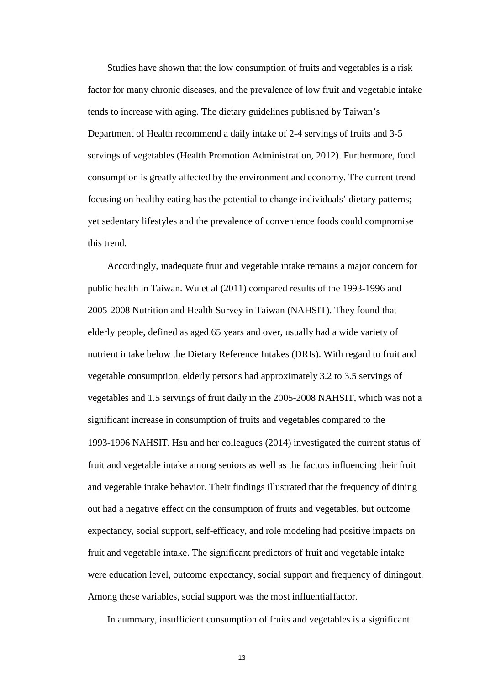Studies have shown that the low consumption of fruits and vegetables is a risk factor for many chronic diseases, and the prevalence of low fruit and vegetable intake tends to increase with aging. The dietary guidelines published by Taiwan's Department of Health recommend a daily intake of 2-4 servings of fruits and 3-5 servings of vegetables (Health Promotion Administration, 2012). Furthermore, food consumption is greatly affected by the environment and economy. The current trend focusing on healthy eating has the potential to change individuals' dietary patterns; yet sedentary lifestyles and the prevalence of convenience foods could compromise this trend.

Accordingly, inadequate fruit and vegetable intake remains a major concern for public health in Taiwan. Wu et al (2011) compared results of the 1993-1996 and 2005-2008 Nutrition and Health Survey in Taiwan (NAHSIT). They found that elderly people, defined as aged 65 years and over, usually had a wide variety of nutrient intake below the Dietary Reference Intakes (DRIs). With regard to fruit and vegetable consumption, elderly persons had approximately 3.2 to 3.5 servings of vegetables and 1.5 servings of fruit daily in the 2005-2008 NAHSIT, which was not a significant increase in consumption of fruits and vegetables compared to the 1993-1996 NAHSIT. Hsu and her colleagues (2014) investigated the current status of fruit and vegetable intake among seniors as well as the factors influencing their fruit and vegetable intake behavior. Their findings illustrated that the frequency of dining out had a negative effect on the consumption of fruits and vegetables, but outcome expectancy, social support, self-efficacy, and role modeling had positive impacts on fruit and vegetable intake. The significant predictors of fruit and vegetable intake were education level, outcome expectancy, social support and frequency of diningout. Among these variables, social support was the most influentialfactor.

In aummary, insufficient consumption of fruits and vegetables is a significant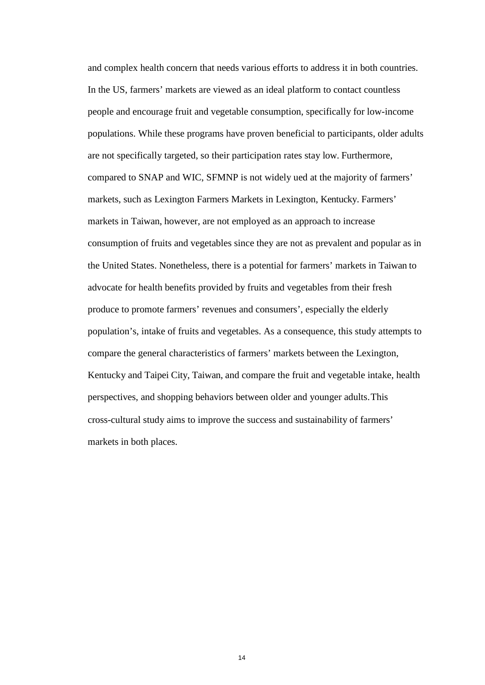and complex health concern that needs various efforts to address it in both countries. In the US, farmers' markets are viewed as an ideal platform to contact countless people and encourage fruit and vegetable consumption, specifically for low-income populations. While these programs have proven beneficial to participants, older adults are not specifically targeted, so their participation rates stay low. Furthermore, compared to SNAP and WIC, SFMNP is not widely ued at the majority of farmers' markets, such as Lexington Farmers Markets in Lexington, Kentucky. Farmers' markets in Taiwan, however, are not employed as an approach to increase consumption of fruits and vegetables since they are not as prevalent and popular as in the United States. Nonetheless, there is a potential for farmers' markets in Taiwan to advocate for health benefits provided by fruits and vegetables from their fresh produce to promote farmers' revenues and consumers', especially the elderly population's, intake of fruits and vegetables. As a consequence, this study attempts to compare the general characteristics of farmers' markets between the Lexington, Kentucky and Taipei City, Taiwan, and compare the fruit and vegetable intake, health perspectives, and shopping behaviors between older and younger adults.This cross-cultural study aims to improve the success and sustainability of farmers' markets in both places.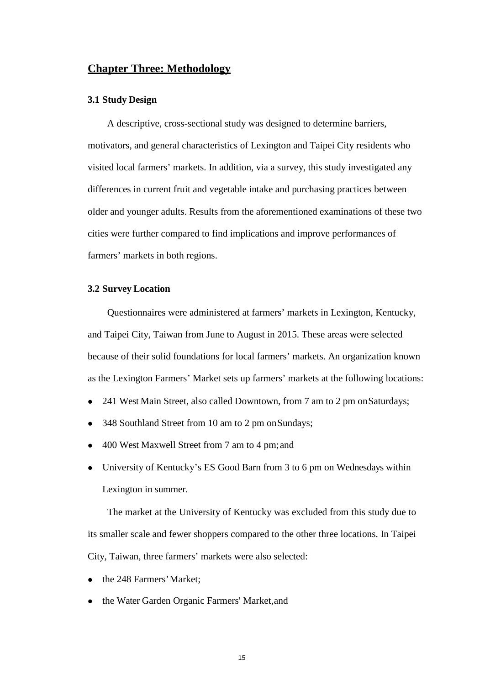## <span id="page-22-0"></span>**Chapter Three: Methodology**

#### <span id="page-22-1"></span>**3.1 Study Design**

A descriptive, cross-sectional study was designed to determine barriers, motivators, and general characteristics of Lexington and Taipei City residents who visited local farmers' markets. In addition, via a survey, this study investigated any differences in current fruit and vegetable intake and purchasing practices between older and younger adults. Results from the aforementioned examinations of these two cities were further compared to find implications and improve performances of farmers' markets in both regions.

#### <span id="page-22-2"></span>**3.2 Survey Location**

Questionnaires were administered at farmers' markets in Lexington, Kentucky, and Taipei City, Taiwan from June to August in 2015. These areas were selected because of their solid foundations for local farmers' markets. An organization known as the Lexington Farmers' Market sets up farmers' markets at the following locations:

- 241 West Main Street, also called Downtown, from 7 am to 2 pm onSaturdays;
- 348 Southland Street from 10 am to 2 pm on Sundays;
- 400 West Maxwell Street from 7 am to 4 pm;and
- University of Kentucky's ES Good Barn from 3 to 6 pm on Wednesdays within Lexington in summer.

The market at the University of Kentucky was excluded from this study due to its smaller scale and fewer shoppers compared to the other three locations. In Taipei City, Taiwan, three farmers' markets were also selected:

- the 248 Farmers' Market;
- the Water Garden Organic Farmers' Market,and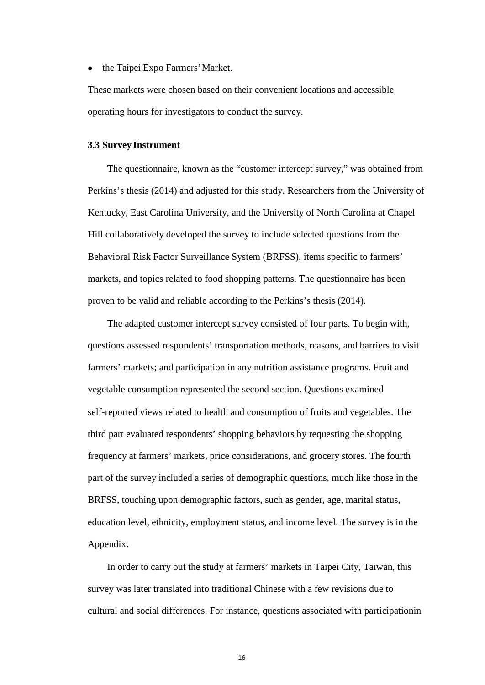• the Taipei Expo Farmers' Market.

These markets were chosen based on their convenient locations and accessible operating hours for investigators to conduct the survey.

#### <span id="page-23-0"></span>**3.3 Survey Instrument**

The questionnaire, known as the "customer intercept survey," was obtained from Perkins's thesis (2014) and adjusted for this study. Researchers from the University of Kentucky, East Carolina University, and the University of North Carolina at Chapel Hill collaboratively developed the survey to include selected questions from the Behavioral Risk Factor Surveillance System (BRFSS), items specific to farmers' markets, and topics related to food shopping patterns. The questionnaire has been proven to be valid and reliable according to the Perkins's thesis (2014).

The adapted customer intercept survey consisted of four parts. To begin with, questions assessed respondents' transportation methods, reasons, and barriers to visit farmers' markets; and participation in any nutrition assistance programs. Fruit and vegetable consumption represented the second section. Questions examined self-reported views related to health and consumption of fruits and vegetables. The third part evaluated respondents' shopping behaviors by requesting the shopping frequency at farmers' markets, price considerations, and grocery stores. The fourth part of the survey included a series of demographic questions, much like those in the BRFSS, touching upon demographic factors, such as gender, age, marital status, education level, ethnicity, employment status, and income level. The survey is in the Appendix.

In order to carry out the study at farmers' markets in Taipei City, Taiwan, this survey was later translated into traditional Chinese with a few revisions due to cultural and social differences. For instance, questions associated with participationin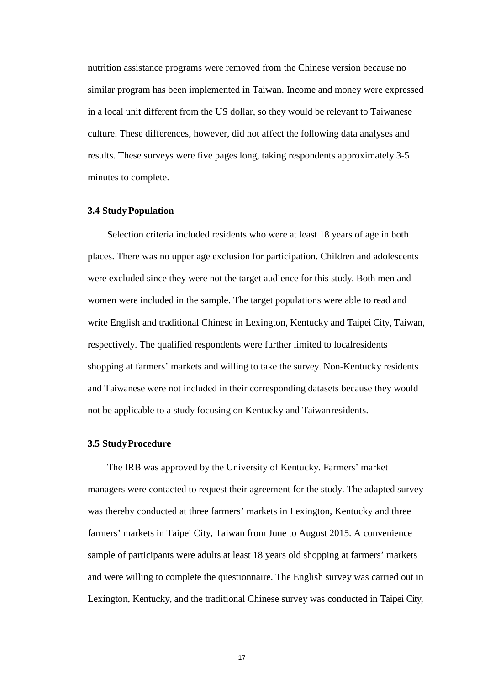nutrition assistance programs were removed from the Chinese version because no similar program has been implemented in Taiwan. Income and money were expressed in a local unit different from the US dollar, so they would be relevant to Taiwanese culture. These differences, however, did not affect the following data analyses and results. These surveys were five pages long, taking respondents approximately 3-5 minutes to complete.

#### <span id="page-24-0"></span>**3.4 Study Population**

Selection criteria included residents who were at least 18 years of age in both places. There was no upper age exclusion for participation. Children and adolescents were excluded since they were not the target audience for this study. Both men and women were included in the sample. The target populations were able to read and write English and traditional Chinese in Lexington, Kentucky and Taipei City, Taiwan, respectively. The qualified respondents were further limited to localresidents shopping at farmers' markets and willing to take the survey. Non-Kentucky residents and Taiwanese were not included in their corresponding datasets because they would not be applicable to a study focusing on Kentucky and Taiwanresidents.

#### <span id="page-24-1"></span>**3.5 StudyProcedure**

The IRB was approved by the University of Kentucky. Farmers' market managers were contacted to request their agreement for the study. The adapted survey was thereby conducted at three farmers' markets in Lexington, Kentucky and three farmers' markets in Taipei City, Taiwan from June to August 2015. A convenience sample of participants were adults at least 18 years old shopping at farmers' markets and were willing to complete the questionnaire. The English survey was carried out in Lexington, Kentucky, and the traditional Chinese survey was conducted in Taipei City,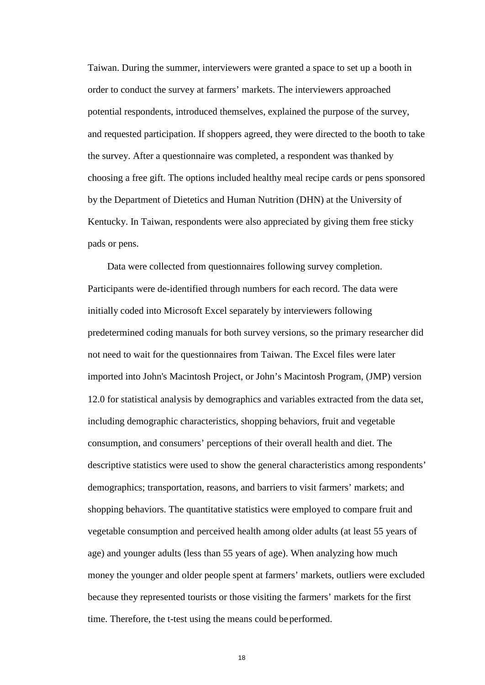Taiwan. During the summer, interviewers were granted a space to set up a booth in order to conduct the survey at farmers' markets. The interviewers approached potential respondents, introduced themselves, explained the purpose of the survey, and requested participation. If shoppers agreed, they were directed to the booth to take the survey. After a questionnaire was completed, a respondent was thanked by choosing a free gift. The options included healthy meal recipe cards or pens sponsored by the Department of Dietetics and Human Nutrition (DHN) at the University of Kentucky. In Taiwan, respondents were also appreciated by giving them free sticky pads or pens.

Data were collected from questionnaires following survey completion. Participants were de-identified through numbers for each record. The data were initially coded into Microsoft Excel separately by interviewers following predetermined coding manuals for both survey versions, so the primary researcher did not need to wait for the questionnaires from Taiwan. The Excel files were later imported into John's Macintosh Project, or John's Macintosh Program, (JMP) version 12.0 for statistical analysis by demographics and variables extracted from the data set, including demographic characteristics, shopping behaviors, fruit and vegetable consumption, and consumers' perceptions of their overall health and diet. The descriptive statistics were used to show the general characteristics among respondents' demographics; transportation, reasons, and barriers to visit farmers' markets; and shopping behaviors. The quantitative statistics were employed to compare fruit and vegetable consumption and perceived health among older adults (at least 55 years of age) and younger adults (less than 55 years of age). When analyzing how much money the younger and older people spent at farmers' markets, outliers were excluded because they represented tourists or those visiting the farmers' markets for the first time. Therefore, the t-test using the means could be performed.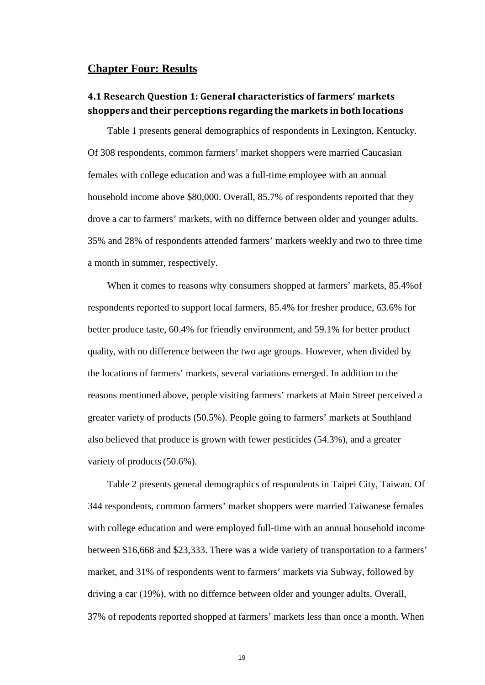## <span id="page-26-0"></span>**Chapter Four: Results**

# <span id="page-26-1"></span>**4.1 Research Question 1: General characteristics of farmers' markets shoppers and their perceptions regarding the markets inboth locations**

Table 1 presents general demographics of respondents in Lexington, Kentucky. Of 308 respondents, common farmers' market shoppers were married Caucasian females with college education and was a full-time employee with an annual household income above \$80,000. Overall, 85.7% of respondents reported that they drove a car to farmers' markets, with no differnce between older and younger adults. 35% and 28% of respondents attended farmers' markets weekly and two to three time a month in summer, respectively.

When it comes to reasons why consumers shopped at farmers' markets, 85.4%of respondents reported to support local farmers, 85.4% for fresher produce, 63.6% for better produce taste, 60.4% for friendly environment, and 59.1% for better product quality, with no difference between the two age groups. However, when divided by the locations of farmers' markets, several variations emerged. In addition to the reasons mentioned above, people visiting farmers' markets at Main Street perceived a greater variety of products (50.5%). People going to farmers' markets at Southland also believed that produce is grown with fewer pesticides (54.3%), and a greater variety of products  $(50.6\%)$ .

Table 2 presents general demographics of respondents in Taipei City, Taiwan. Of 344 respondents, common farmers' market shoppers were married Taiwanese females with college education and were employed full-time with an annual household income between \$16,668 and \$23,333. There was a wide variety of transportation to a farmers' market, and 31% of respondents went to farmers' markets via Subway, followed by driving a car (19%), with no differnce between older and younger adults. Overall, 37% of repodents reported shopped at farmers' markets less than once a month. When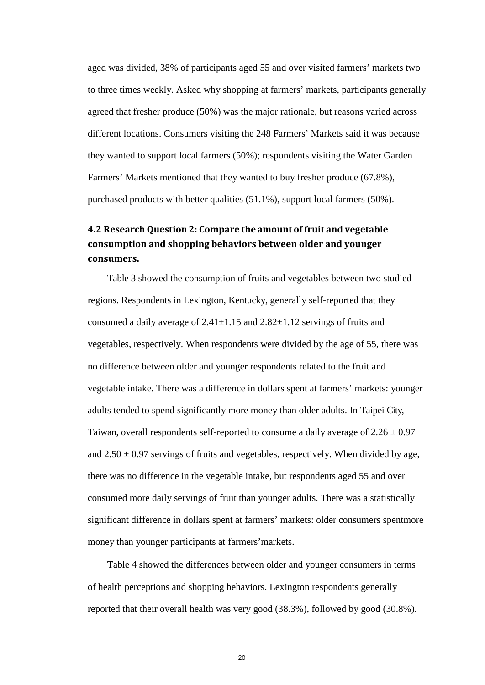aged was divided, 38% of participants aged 55 and over visited farmers' markets two to three times weekly. Asked why shopping at farmers' markets, participants generally agreed that fresher produce (50%) was the major rationale, but reasons varied across different locations. Consumers visiting the 248 Farmers' Markets said it was because they wanted to support local farmers (50%); respondents visiting the Water Garden Farmers' Markets mentioned that they wanted to buy fresher produce (67.8%), purchased products with better qualities (51.1%), support local farmers (50%).

# <span id="page-27-0"></span>**4.2 Research Question 2: Compare the amount of fruit and vegetable consumption and shopping behaviors between older and younger consumers.**

Table 3 showed the consumption of fruits and vegetables between two studied regions. Respondents in Lexington, Kentucky, generally self-reported that they consumed a daily average of  $2.41 \pm 1.15$  and  $2.82 \pm 1.12$  servings of fruits and vegetables, respectively. When respondents were divided by the age of 55, there was no difference between older and younger respondents related to the fruit and vegetable intake. There was a difference in dollars spent at farmers' markets: younger adults tended to spend significantly more money than older adults. In Taipei City, Taiwan, overall respondents self-reported to consume a daily average of  $2.26 \pm 0.97$ and  $2.50 \pm 0.97$  servings of fruits and vegetables, respectively. When divided by age, there was no difference in the vegetable intake, but respondents aged 55 and over consumed more daily servings of fruit than younger adults. There was a statistically significant difference in dollars spent at farmers' markets: older consumers spentmore money than younger participants at farmers'markets.

Table 4 showed the differences between older and younger consumers in terms of health perceptions and shopping behaviors. Lexington respondents generally reported that their overall health was very good (38.3%), followed by good (30.8%).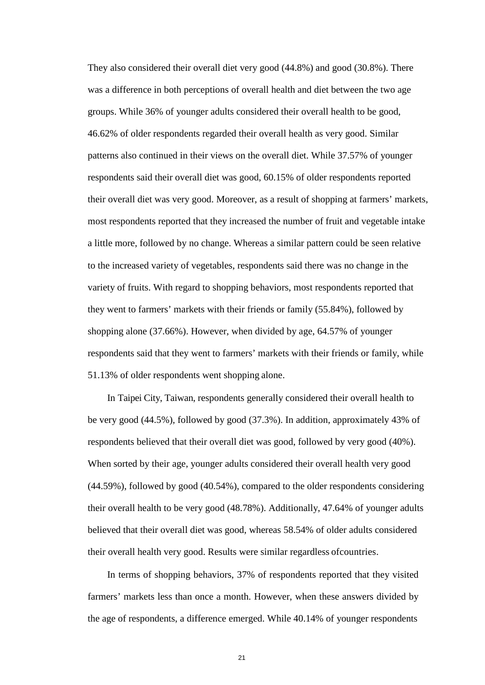They also considered their overall diet very good (44.8%) and good (30.8%). There was a difference in both perceptions of overall health and diet between the two age groups. While 36% of younger adults considered their overall health to be good, 46.62% of older respondents regarded their overall health as very good. Similar patterns also continued in their views on the overall diet. While 37.57% of younger respondents said their overall diet was good, 60.15% of older respondents reported their overall diet was very good. Moreover, as a result of shopping at farmers' markets, most respondents reported that they increased the number of fruit and vegetable intake a little more, followed by no change. Whereas a similar pattern could be seen relative to the increased variety of vegetables, respondents said there was no change in the variety of fruits. With regard to shopping behaviors, most respondents reported that they went to farmers' markets with their friends or family (55.84%), followed by shopping alone (37.66%). However, when divided by age, 64.57% of younger respondents said that they went to farmers' markets with their friends or family, while 51.13% of older respondents went shopping alone.

In Taipei City, Taiwan, respondents generally considered their overall health to be very good (44.5%), followed by good (37.3%). In addition, approximately 43% of respondents believed that their overall diet was good, followed by very good (40%). When sorted by their age, younger adults considered their overall health very good (44.59%), followed by good (40.54%), compared to the older respondents considering their overall health to be very good (48.78%). Additionally, 47.64% of younger adults believed that their overall diet was good, whereas 58.54% of older adults considered their overall health very good. Results were similar regardless ofcountries.

In terms of shopping behaviors, 37% of respondents reported that they visited farmers' markets less than once a month. However, when these answers divided by the age of respondents, a difference emerged. While 40.14% of younger respondents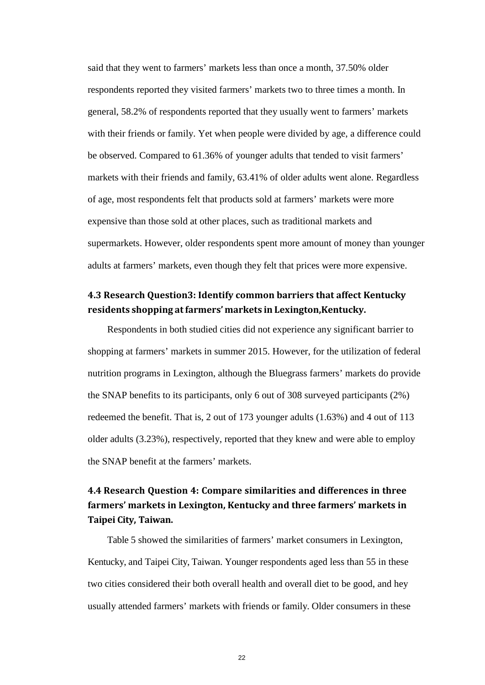said that they went to farmers' markets less than once a month, 37.50% older respondents reported they visited farmers' markets two to three times a month. In general, 58.2% of respondents reported that they usually went to farmers' markets with their friends or family. Yet when people were divided by age, a difference could be observed. Compared to 61.36% of younger adults that tended to visit farmers' markets with their friends and family, 63.41% of older adults went alone. Regardless of age, most respondents felt that products sold at farmers' markets were more expensive than those sold at other places, such as traditional markets and supermarkets. However, older respondents spent more amount of money than younger adults at farmers' markets, even though they felt that prices were more expensive.

## <span id="page-29-0"></span>**4.3 Research Question3: Identify common barriers that affect Kentucky residents shopping atfarmers' markets in Lexington,Kentucky.**

Respondents in both studied cities did not experience any significant barrier to shopping at farmers' markets in summer 2015. However, for the utilization of federal nutrition programs in Lexington, although the Bluegrass farmers' markets do provide the SNAP benefits to its participants, only 6 out of 308 surveyed participants (2%) redeemed the benefit. That is, 2 out of 173 younger adults (1.63%) and 4 out of 113 older adults (3.23%), respectively, reported that they knew and were able to employ the SNAP benefit at the farmers' markets.

# <span id="page-29-1"></span>**4.4 Research Question 4: Compare similarities and differences in three farmers' markets in Lexington, Kentucky and three farmers' markets in Taipei City, Taiwan.**

Table 5 showed the similarities of farmers' market consumers in Lexington, Kentucky, and Taipei City, Taiwan. Younger respondents aged less than 55 in these two cities considered their both overall health and overall diet to be good, and hey usually attended farmers' markets with friends or family. Older consumers in these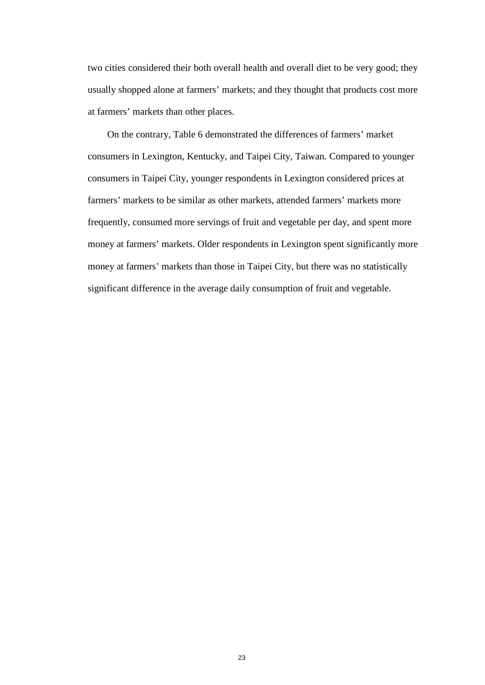two cities considered their both overall health and overall diet to be very good; they usually shopped alone at farmers' markets; and they thought that products cost more at farmers' markets than other places.

On the contrary, Table 6 demonstrated the differences of farmers' market consumers in Lexington, Kentucky, and Taipei City, Taiwan. Compared to younger consumers in Taipei City, younger respondents in Lexington considered prices at farmers' markets to be similar as other markets, attended farmers' markets more frequently, consumed more servings of fruit and vegetable per day, and spent more money at farmers' markets. Older respondents in Lexington spent significantly more money at farmers' markets than those in Taipei City, but there was no statistically significant difference in the average daily consumption of fruit and vegetable.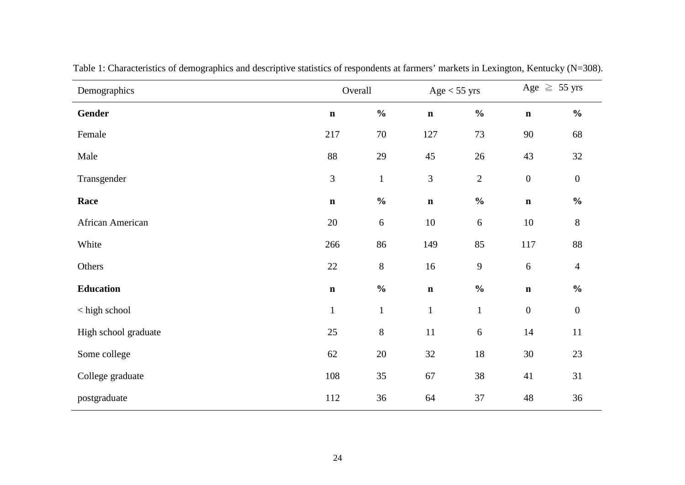| Demographics         | Overall      |               | $Age < 55$ yrs |                | Age $\geq$ 55 yrs |                  |
|----------------------|--------------|---------------|----------------|----------------|-------------------|------------------|
| Gender               | $\mathbf n$  | $\frac{0}{0}$ | $\mathbf n$    | $\frac{0}{0}$  | $\mathbf n$       | $\frac{0}{0}$    |
| Female               | 217          | $70\,$        | 127            | 73             | 90                | 68               |
| Male                 | 88           | 29            | 45             | 26             | 43                | 32               |
| Transgender          | 3            | $\mathbf{1}$  | 3              | $\overline{2}$ | $\boldsymbol{0}$  | $\boldsymbol{0}$ |
| Race                 | $\mathbf n$  | $\frac{0}{0}$ | $\mathbf n$    | $\frac{0}{0}$  | $\mathbf n$       | $\frac{1}{2}$    |
| African American     | 20           | $\sqrt{6}$    | $10\,$         | $\sqrt{6}$     | $10\,$            | $\,8\,$          |
| White                | 266          | 86            | 149            | 85             | 117               | 88               |
| Others               | 22           | $8\,$         | 16             | $\mathbf{9}$   | $\sqrt{6}$        | $\overline{4}$   |
| <b>Education</b>     | $\mathbf n$  | $\frac{1}{2}$ | $\mathbf n$    | $\frac{0}{0}$  | $\mathbf n$       | $\frac{1}{2}$    |
| < high school        | $\mathbf{1}$ | $\mathbf{1}$  | $\mathbf{1}$   | $\mathbf 1$    | $\boldsymbol{0}$  | $\boldsymbol{0}$ |
| High school graduate | 25           | $8\,$         | 11             | $6\,$          | 14                | $11\,$           |
| Some college         | 62           | $20\,$        | 32             | 18             | 30                | 23               |
| College graduate     | 108          | 35            | 67             | 38             | 41                | 31               |
| postgraduate         | 112          | 36            | 64             | 37             | 48                | 36               |

Table 1: Characteristics of demographics and descriptive statistics of respondents at farmers' markets in Lexington, Kentucky (N=308).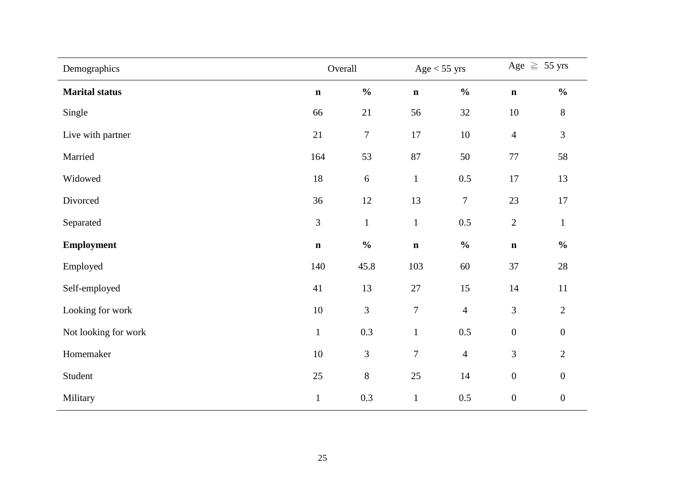| Demographics          |              | Overall          |                | $Age < 55$ yrs   |                  | Age $\geq$ 55 yrs |
|-----------------------|--------------|------------------|----------------|------------------|------------------|-------------------|
| <b>Marital status</b> | $\mathbf n$  | $\frac{0}{0}$    | $\mathbf n$    | $\frac{0}{0}$    | $\mathbf n$      | $\frac{0}{0}$     |
| Single                | 66           | 21               | 56             | 32               | $10\,$           | $\,8\,$           |
| Live with partner     | 21           | $\tau$           | 17             | $10\,$           | $\overline{4}$   | $\mathfrak{Z}$    |
| Married               | 164          | 53               | 87             | 50               | 77               | 58                |
| Widowed               | 18           | $\boldsymbol{6}$ | $\mathbf{1}$   | 0.5              | $17\,$           | 13                |
| Divorced              | 36           | 12               | 13             | $\boldsymbol{7}$ | 23               | 17                |
| Separated             | 3            | $\mathbf{1}$     | $\mathbf{1}$   | 0.5              | $\sqrt{2}$       | $\mathbf{1}$      |
| <b>Employment</b>     | $\mathbf n$  | $\frac{0}{0}$    | $\mathbf n$    | $\frac{0}{0}$    | $\mathbf n$      | $\frac{0}{0}$     |
| Employed              | 140          | 45.8             | 103            | $60\,$           | 37               | $28\,$            |
| Self-employed         | 41           | 13               | $27\,$         | 15               | 14               | 11                |
| Looking for work      | $10\,$       | 3                | $\overline{7}$ | $\overline{4}$   | $\mathfrak{Z}$   | $\overline{2}$    |
| Not looking for work  | $\mathbf{1}$ | 0.3              | $\mathbf{1}$   | 0.5              | $\boldsymbol{0}$ | $\boldsymbol{0}$  |
| Homemaker             | $10\,$       | 3                | $\overline{7}$ | $\overline{4}$   | 3                | $\overline{2}$    |
| Student               | 25           | $8\,$            | $25\,$         | 14               | $\boldsymbol{0}$ | $\boldsymbol{0}$  |
| Military              | $\mathbf{1}$ | 0.3              | $\mathbf{1}$   | 0.5              | $\boldsymbol{0}$ | $\boldsymbol{0}$  |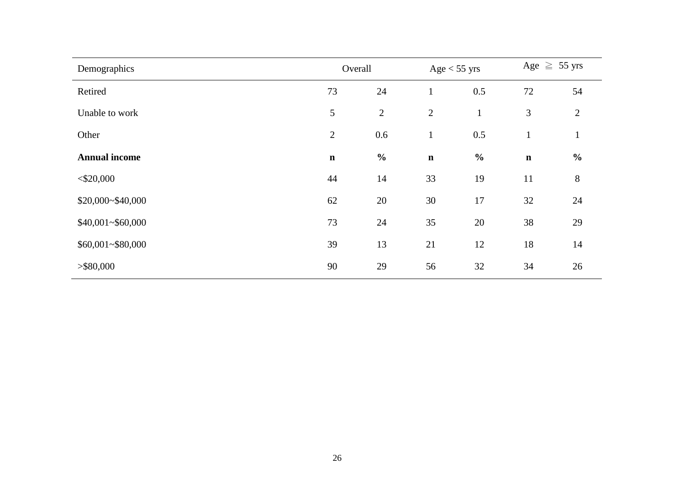| Demographics         |                | Overall        | $Age < 55$ yrs |               |              | Age $\geq$ 55 yrs |
|----------------------|----------------|----------------|----------------|---------------|--------------|-------------------|
| Retired              | 73             | 24             | $\mathbf{1}$   | 0.5           | 72           | 54                |
| Unable to work       | $\mathfrak{S}$ | $\overline{2}$ | $\sqrt{2}$     | $\mathbf{1}$  | 3            | $\overline{2}$    |
| Other                | $\mathfrak{2}$ | 0.6            | $\mathbf{1}$   | 0.5           | $\mathbf{1}$ | $\mathbf{1}$      |
| <b>Annual income</b> | $\mathbf n$    | $\frac{0}{0}$  | $\mathbf n$    | $\frac{0}{0}$ | $\mathbf n$  | $\frac{0}{0}$     |
| $<$ \$20,000         | 44             | 14             | 33             | 19            | 11           | 8                 |
| \$20,000~\$40,000    | 62             | 20             | 30             | 17            | 32           | 24                |
| \$40,001~\$60,000    | 73             | 24             | 35             | 20            | 38           | 29                |
| \$60,001~\$80,000    | 39             | 13             | 21             | 12            | 18           | 14                |
| $>$ \$80,000         | 90             | 29             | 56             | 32            | 34           | 26                |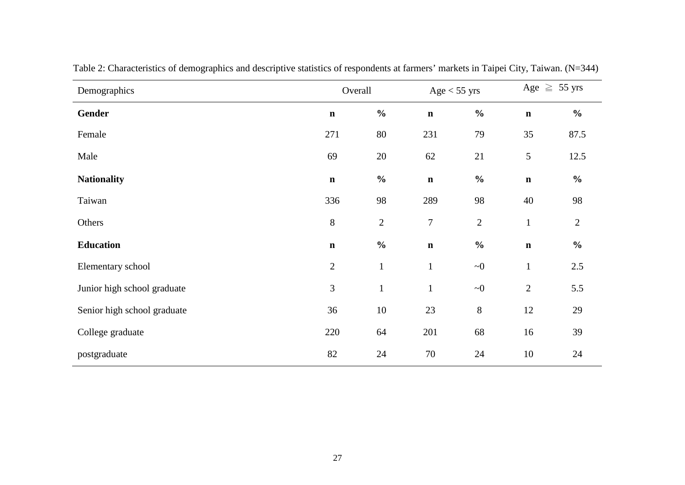| Demographics                |                | Overall       | $Age < 55$ yrs |               |              | Age $\geq$ 55 yrs |
|-----------------------------|----------------|---------------|----------------|---------------|--------------|-------------------|
| Gender                      | $\mathbf n$    | $\frac{0}{0}$ | $\mathbf n$    | $\frac{0}{0}$ | $\mathbf n$  | $\frac{0}{0}$     |
| Female                      | 271            | 80            | 231            | 79            | 35           | 87.5              |
| Male                        | 69             | 20            | 62             | 21            | 5            | 12.5              |
| <b>Nationality</b>          | $\mathbf n$    | $\frac{0}{0}$ | $\mathbf n$    | $\frac{0}{0}$ | $\mathbf n$  | $\frac{0}{0}$     |
| Taiwan                      | 336            | 98            | 289            | 98            | 40           | 98                |
| Others                      | 8              | $\sqrt{2}$    | $\overline{7}$ | $\sqrt{2}$    | $\mathbf{1}$ | $\overline{2}$    |
| <b>Education</b>            | $\mathbf n$    | $\frac{0}{0}$ | $\mathbf n$    | $\frac{0}{0}$ | $\mathbf n$  | $\frac{0}{0}$     |
| Elementary school           | $\overline{2}$ | $\mathbf{1}$  | $\mathbf{1}$   | $\sim 0$      | $\mathbf{1}$ | 2.5               |
| Junior high school graduate | $\mathfrak{Z}$ | $\mathbf{1}$  | $\mathbf{1}$   | $\sim 0$      | $\mathbf{2}$ | 5.5               |
| Senior high school graduate | 36             | 10            | 23             | $\,8\,$       | 12           | 29                |
| College graduate            | 220            | 64            | 201            | 68            | 16           | 39                |
| postgraduate                | 82             | 24            | 70             | 24            | 10           | 24                |

Table 2: Characteristics of demographics and descriptive statistics of respondents at farmers' markets in Taipei City, Taiwan. (N=344)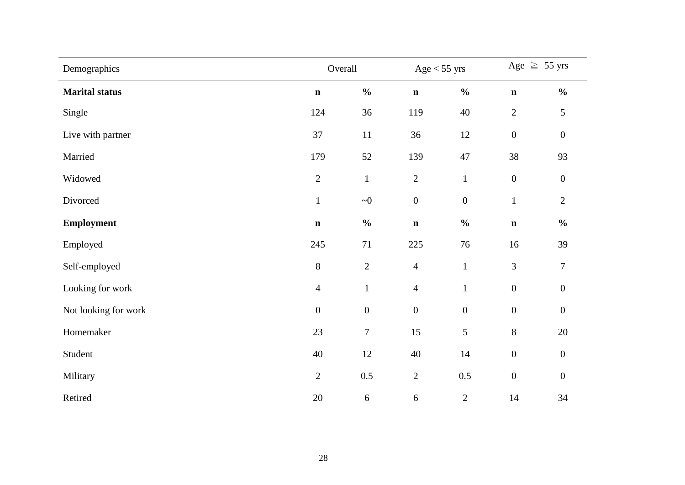| Demographics          |                  | Overall          |                  | $Age < 55$ yrs   |                  | Age $\geq$ 55 yrs |
|-----------------------|------------------|------------------|------------------|------------------|------------------|-------------------|
| <b>Marital status</b> | $\mathbf n$      | $\frac{0}{0}$    | $\mathbf n$      | $\frac{0}{0}$    | $\mathbf n$      | $\frac{0}{0}$     |
| Single                | 124              | 36               | 119              | 40               | $\overline{2}$   | 5                 |
| Live with partner     | 37               | 11               | 36               | 12               | $\boldsymbol{0}$ | $\mathbf{0}$      |
| Married               | 179              | 52               | 139              | $47\,$           | 38               | 93                |
| Widowed               | $\sqrt{2}$       | $\mathbf{1}$     | $\sqrt{2}$       | $\mathbf{1}$     | $\boldsymbol{0}$ | $\boldsymbol{0}$  |
| Divorced              | $\,1\,$          | $\sim\!\!0$      | $\boldsymbol{0}$ | $\boldsymbol{0}$ | $\mathbf{1}$     | $\overline{2}$    |
| Employment            | $\mathbf n$      | $\frac{0}{0}$    | $\mathbf n$      | $\frac{0}{0}$    | $\mathbf n$      | $\frac{0}{0}$     |
| Employed              | 245              | 71               | 225              | 76               | 16               | 39                |
| Self-employed         | $8\,$            | $\sqrt{2}$       | $\overline{4}$   | $\mathbf{1}$     | 3                | $\tau$            |
| Looking for work      | $\overline{4}$   | $\,1$            | $\overline{4}$   | $\mathbf{1}$     | $\boldsymbol{0}$ | $\boldsymbol{0}$  |
| Not looking for work  | $\boldsymbol{0}$ | $\boldsymbol{0}$ | $\boldsymbol{0}$ | $\boldsymbol{0}$ | $\boldsymbol{0}$ | $\overline{0}$    |
| Homemaker             | 23               | $\boldsymbol{7}$ | 15               | 5                | $8\,$            | 20                |
| Student               | 40               | $12\,$           | 40               | 14               | $\boldsymbol{0}$ | $\boldsymbol{0}$  |
| Military              | $\overline{2}$   | $0.5\,$          | $\overline{2}$   | $0.5\,$          | $\boldsymbol{0}$ | $\mathbf{0}$      |
| Retired               | $20\,$           | $\sqrt{6}$       | $\sqrt{6}$       | $\mathbf{2}$     | 14               | 34                |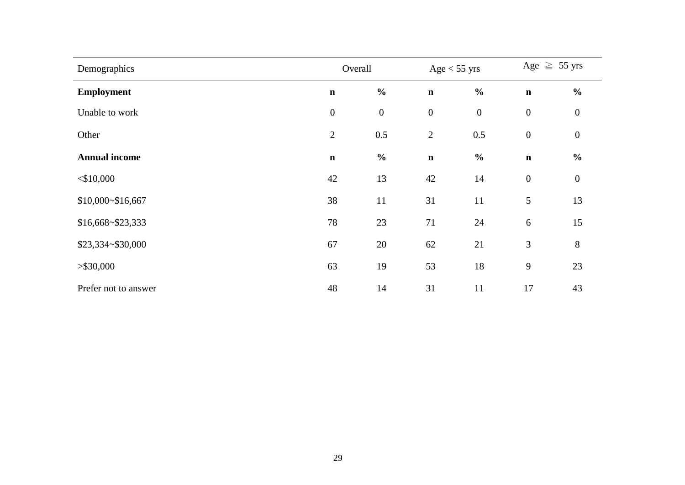| Demographics         |                  | Overall          |                  | Age $<$ 55 yrs   |                  | Age $\geq$ 55 yrs |
|----------------------|------------------|------------------|------------------|------------------|------------------|-------------------|
| <b>Employment</b>    | $\mathbf n$      | $\frac{0}{0}$    | $\mathbf n$      | $\frac{0}{0}$    | $\mathbf n$      | $\frac{0}{0}$     |
| Unable to work       | $\boldsymbol{0}$ | $\boldsymbol{0}$ | $\boldsymbol{0}$ | $\boldsymbol{0}$ | $\boldsymbol{0}$ | $\boldsymbol{0}$  |
| Other                | $\sqrt{2}$       | 0.5              | $\mathbf{2}$     | 0.5              | $\boldsymbol{0}$ | $\mathbf{0}$      |
| <b>Annual income</b> | $\mathbf n$      | $\frac{0}{0}$    | $\mathbf n$      | $\frac{0}{0}$    | $\mathbf n$      | $\frac{0}{0}$     |
| $<$ \$10,000         | 42               | 13               | 42               | 14               | $\boldsymbol{0}$ | $\boldsymbol{0}$  |
| \$10,000~\$16,667    | 38               | 11               | 31               | 11               | 5                | 13                |
| $$16,668 - $23,333$  | 78               | 23               | 71               | 24               | 6                | 15                |
| \$23,334~\$30,000    | 67               | 20               | 62               | 21               | $\mathfrak{Z}$   | $8\,$             |
| > \$30,000           | 63               | 19               | 53               | 18               | 9                | 23                |
| Prefer not to answer | 48               | 14               | 31               | 11               | 17               | 43                |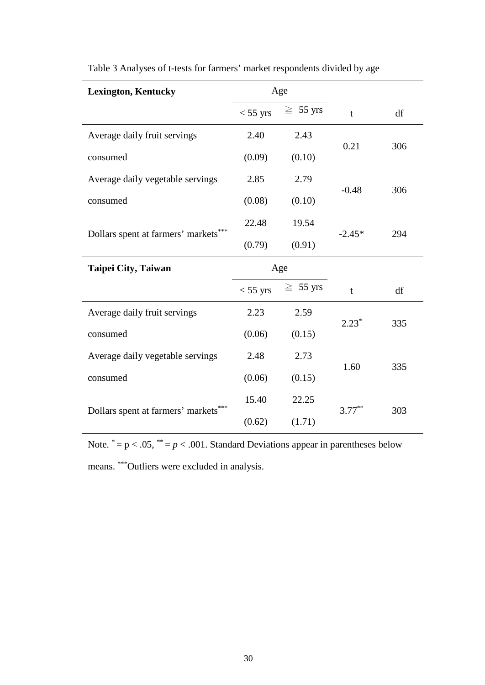| <b>Lexington, Kentucky</b>           | Age        |               |           |     |  |  |
|--------------------------------------|------------|---------------|-----------|-----|--|--|
|                                      | $< 55$ yrs | $\geq 55$ yrs | t         | df  |  |  |
| Average daily fruit servings         | 2.40       | 2.43          |           |     |  |  |
| consumed                             | (0.09)     | (0.10)        | 0.21      | 306 |  |  |
| Average daily vegetable servings     | 2.85       | 2.79          |           |     |  |  |
| consumed                             | (0.08)     | (0.10)        | $-0.48$   | 306 |  |  |
|                                      | 22.48      | 19.54         |           |     |  |  |
| Dollars spent at farmers' markets*** | (0.79)     | (0.91)        | $-2.45*$  | 294 |  |  |
| <b>Taipei City, Taiwan</b>           | Age        |               |           |     |  |  |
|                                      |            |               |           |     |  |  |
|                                      | $<$ 55 yrs | $\geq 55$ yrs | t         | df  |  |  |
| Average daily fruit servings         | 2.23       | 2.59          |           |     |  |  |
| consumed                             | (0.06)     | (0.15)        | $2.23*$   | 335 |  |  |
| Average daily vegetable servings     | 2.48       | 2.73          |           |     |  |  |
| consumed                             | (0.06)     | (0.15)        | 1.60      | 335 |  |  |
| Dollars spent at farmers' markets*** | 15.40      | 22.25         | $3.77***$ | 303 |  |  |

Table 3 Analyses of t-tests for farmers' market respondents divided by age

Note.  $* = p < .05$ ,  $* = p < .001$ . Standard Deviations appear in parentheses below means. \*\*\*Outliers were excluded in analysis.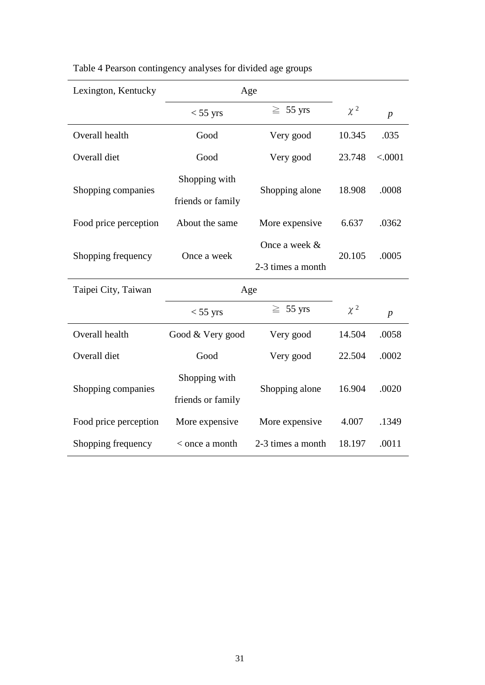| Lexington, Kentucky   | Age                                |                                      |          |                  |  |  |
|-----------------------|------------------------------------|--------------------------------------|----------|------------------|--|--|
|                       | $< 55$ yrs                         | $\geq 55$ yrs                        | $\chi^2$ | $\boldsymbol{p}$ |  |  |
| Overall health        | Good                               | Very good                            | 10.345   | .035             |  |  |
| Overall diet          | Good                               | Very good                            | 23.748   | < .0001          |  |  |
| Shopping companies    | Shopping with<br>friends or family | Shopping alone                       | 18.908   | .0008            |  |  |
| Food price perception | About the same                     | More expensive                       | 6.637    | .0362            |  |  |
| Shopping frequency    | Once a week                        | Once a week $&$<br>2-3 times a month | 20.105   | .0005            |  |  |
| Taipei City, Taiwan   | Age                                |                                      |          |                  |  |  |
|                       | $< 55$ yrs                         | $\geq 55$ yrs                        | $\chi^2$ | $\boldsymbol{p}$ |  |  |
| Overall health        | Good & Very good                   | Very good                            | 14.504   | .0058            |  |  |
| Overall diet          | Good                               | Very good                            | 22.504   | .0002            |  |  |
| Shopping companies    | Shopping with<br>friends or family | Shopping alone                       | 16.904   | .0020            |  |  |
| Food price perception | More expensive                     | More expensive                       | 4.007    | .1349            |  |  |
| Shopping frequency    | < once a month                     | 2-3 times a month                    | 18.197   | .0011            |  |  |

| Table 4 Pearson contingency analyses for divided age groups |  |
|-------------------------------------------------------------|--|
|                                                             |  |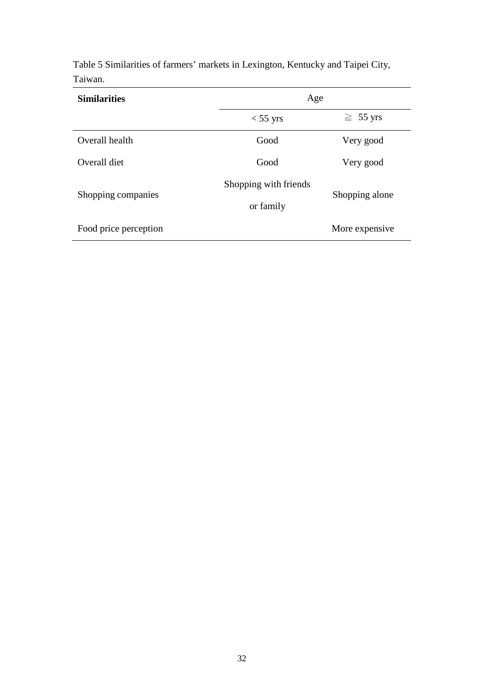| <b>Similarities</b>   | Age                   |                |  |
|-----------------------|-----------------------|----------------|--|
|                       | $<$ 55 yrs            | $\geq 55$ yrs  |  |
| Overall health        | Good                  | Very good      |  |
| Overall diet          | Good                  | Very good      |  |
|                       | Shopping with friends |                |  |
| Shopping companies    | or family             | Shopping alone |  |
| Food price perception |                       | More expensive |  |
|                       |                       |                |  |

Table 5 Similarities of farmers' markets in Lexington, Kentucky and Taipei City, Taiwan.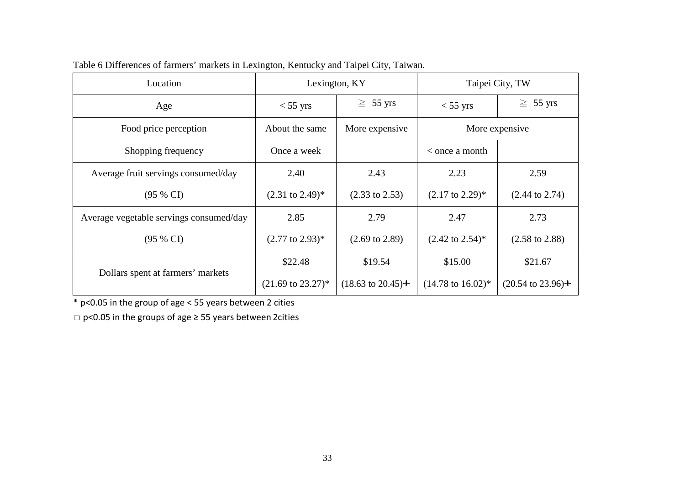| Location                                | Lexington, KY                 |                               | Taipei City, TW               |                               |
|-----------------------------------------|-------------------------------|-------------------------------|-------------------------------|-------------------------------|
| Age                                     | $<$ 55 yrs                    | $\geq 55$ yrs                 | $<$ 55 yrs                    | $\geq 55$ yrs                 |
| Food price perception                   | About the same                | More expensive                | More expensive                |                               |
| Shopping frequency                      | Once a week                   |                               | $\alpha$ once a month         |                               |
| Average fruit servings consumed/day     | 2.40                          | 2.43                          | 2.23                          | 2.59                          |
| (95 % CI)                               | $(2.31 \text{ to } 2.49)^*$   | $(2.33 \text{ to } 2.53)$     | $(2.17 \text{ to } 2.29)^*$   | $(2.44 \text{ to } 2.74)$     |
| Average vegetable servings consumed/day | 2.85                          | 2.79                          | 2.47                          | 2.73                          |
| (95 % CI)                               | $(2.77 \text{ to } 2.93)^*$   | $(2.69 \text{ to } 2.89)$     | $(2.42 \text{ to } 2.54)^*$   | $(2.58 \text{ to } 2.88)$     |
| Dollars spent at farmers' markets       | \$22.48                       | \$19.54                       | \$15.00                       | \$21.67                       |
|                                         | $(21.69 \text{ to } 23.27)^*$ | $(18.63 \text{ to } 20.45) +$ | $(14.78 \text{ to } 16.02)^*$ | $(20.54 \text{ to } 23.96) +$ |

| Table 6 Differences of farmers' markets in Lexington, Kentucky and Taipei City, Taiwan. |  |  |  |  |
|-----------------------------------------------------------------------------------------|--|--|--|--|
|-----------------------------------------------------------------------------------------|--|--|--|--|

\* p<0.05 in the group of age < 55 years between 2 cities

□ p<0.05 in the groups of age ≥ 55 years between 2cities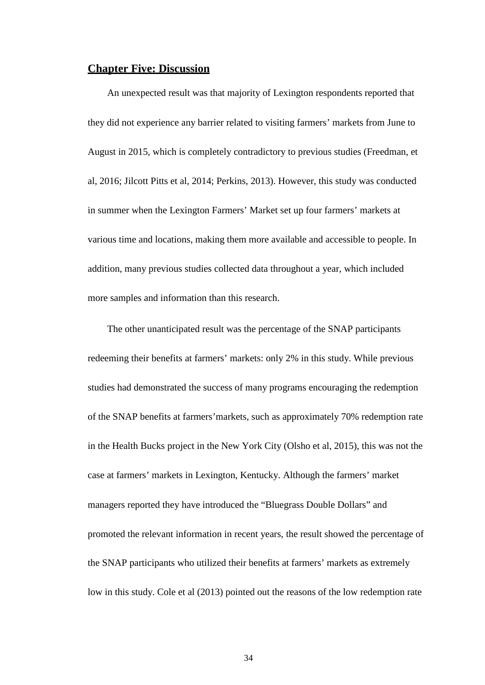## <span id="page-41-0"></span>**Chapter Five: Discussion**

An unexpected result was that majority of Lexington respondents reported that they did not experience any barrier related to visiting farmers' markets from June to August in 2015, which is completely contradictory to previous studies (Freedman, et al, 2016; Jilcott Pitts et al, 2014; Perkins, 2013). However, this study was conducted in summer when the Lexington Farmers' Market set up four farmers' markets at various time and locations, making them more available and accessible to people. In addition, many previous studies collected data throughout a year, which included more samples and information than this research.

The other unanticipated result was the percentage of the SNAP participants redeeming their benefits at farmers' markets: only 2% in this study. While previous studies had demonstrated the success of many programs encouraging the redemption of the SNAP benefits at farmers'markets, such as approximately 70% redemption rate in the Health Bucks project in the New York City (Olsho et al, 2015), this was not the case at farmers' markets in Lexington, Kentucky. Although the farmers' market managers reported they have introduced the "Bluegrass Double Dollars" and promoted the relevant information in recent years, the result showed the percentage of the SNAP participants who utilized their benefits at farmers' markets as extremely low in this study. Cole et al (2013) pointed out the reasons of the low redemption rate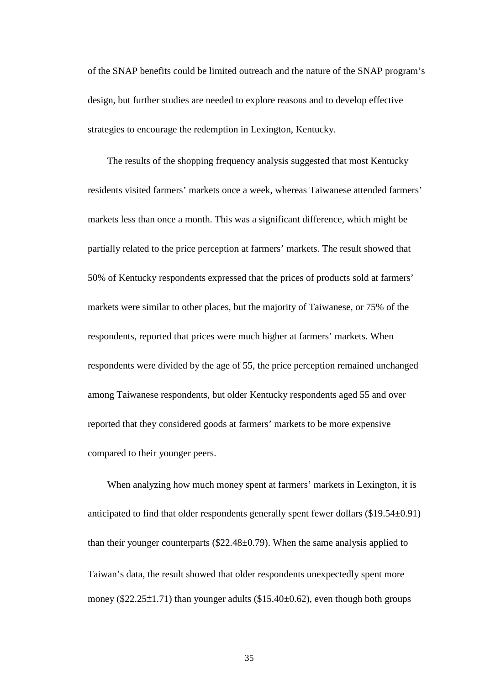of the SNAP benefits could be limited outreach and the nature of the SNAP program's design, but further studies are needed to explore reasons and to develop effective strategies to encourage the redemption in Lexington, Kentucky.

The results of the shopping frequency analysis suggested that most Kentucky residents visited farmers' markets once a week, whereas Taiwanese attended farmers' markets less than once a month. This was a significant difference, which might be partially related to the price perception at farmers' markets. The result showed that 50% of Kentucky respondents expressed that the prices of products sold at farmers' markets were similar to other places, but the majority of Taiwanese, or 75% of the respondents, reported that prices were much higher at farmers' markets. When respondents were divided by the age of 55, the price perception remained unchanged among Taiwanese respondents, but older Kentucky respondents aged 55 and over reported that they considered goods at farmers' markets to be more expensive compared to their younger peers.

When analyzing how much money spent at farmers' markets in Lexington, it is anticipated to find that older respondents generally spent fewer dollars (\$19.54±0.91) than their younger counterparts (\$22.48±0.79). When the same analysis applied to Taiwan's data, the result showed that older respondents unexpectedly spent more money (\$22.25±1.71) than younger adults (\$15.40±0.62), even though both groups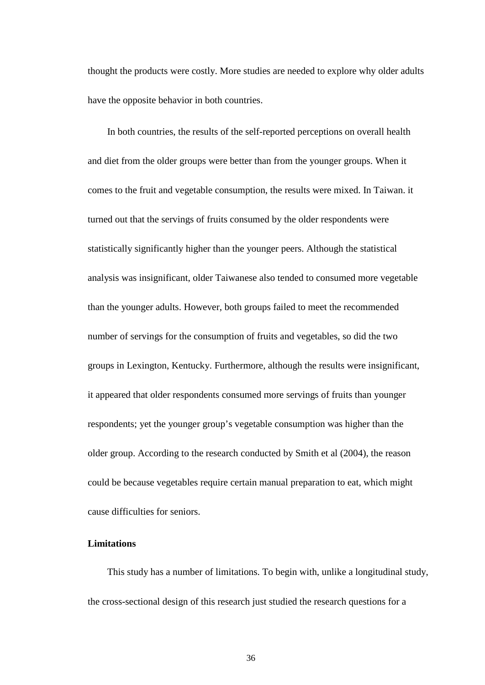thought the products were costly. More studies are needed to explore why older adults have the opposite behavior in both countries.

In both countries, the results of the self-reported perceptions on overall health and diet from the older groups were better than from the younger groups. When it comes to the fruit and vegetable consumption, the results were mixed. In Taiwan. it turned out that the servings of fruits consumed by the older respondents were statistically significantly higher than the younger peers. Although the statistical analysis was insignificant, older Taiwanese also tended to consumed more vegetable than the younger adults. However, both groups failed to meet the recommended number of servings for the consumption of fruits and vegetables, so did the two groups in Lexington, Kentucky. Furthermore, although the results were insignificant, it appeared that older respondents consumed more servings of fruits than younger respondents; yet the younger group's vegetable consumption was higher than the older group. According to the research conducted by Smith et al (2004), the reason could be because vegetables require certain manual preparation to eat, which might cause difficulties for seniors.

#### <span id="page-43-0"></span>**Limitations**

This study has a number of limitations. To begin with, unlike a longitudinal study, the cross-sectional design of this research just studied the research questions for a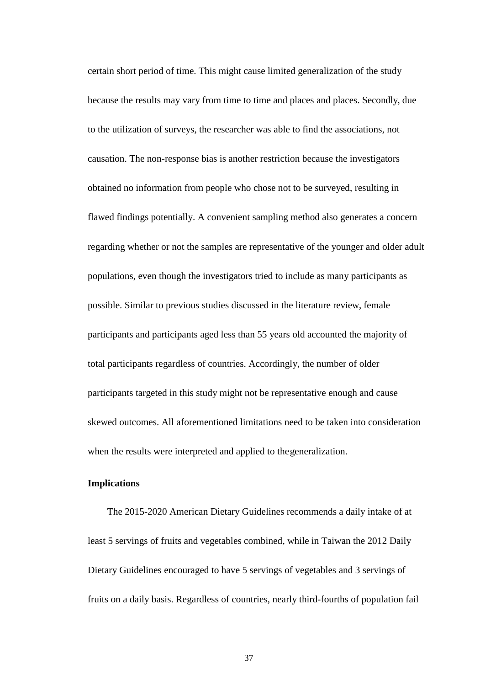certain short period of time. This might cause limited generalization of the study because the results may vary from time to time and places and places. Secondly, due to the utilization of surveys, the researcher was able to find the associations, not causation. The non-response bias is another restriction because the investigators obtained no information from people who chose not to be surveyed, resulting in flawed findings potentially. A convenient sampling method also generates a concern regarding whether or not the samples are representative of the younger and older adult populations, even though the investigators tried to include as many participants as possible. Similar to previous studies discussed in the literature review, female participants and participants aged less than 55 years old accounted the majority of total participants regardless of countries. Accordingly, the number of older participants targeted in this study might not be representative enough and cause skewed outcomes. All aforementioned limitations need to be taken into consideration when the results were interpreted and applied to thegeneralization.

#### <span id="page-44-0"></span>**Implications**

The 2015-2020 American Dietary Guidelines recommends a daily intake of at least 5 servings of fruits and vegetables combined, while in Taiwan the 2012 Daily Dietary Guidelines encouraged to have 5 servings of vegetables and 3 servings of fruits on a daily basis. Regardless of countries, nearly third-fourths of population fail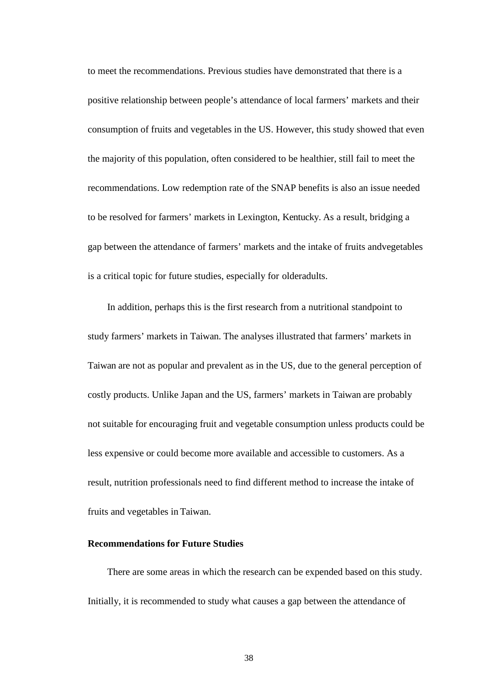to meet the recommendations. Previous studies have demonstrated that there is a positive relationship between people's attendance of local farmers' markets and their consumption of fruits and vegetables in the US. However, this study showed that even the majority of this population, often considered to be healthier, still fail to meet the recommendations. Low redemption rate of the SNAP benefits is also an issue needed to be resolved for farmers' markets in Lexington, Kentucky. As a result, bridging a gap between the attendance of farmers' markets and the intake of fruits andvegetables is a critical topic for future studies, especially for olderadults.

In addition, perhaps this is the first research from a nutritional standpoint to study farmers' markets in Taiwan. The analyses illustrated that farmers' markets in Taiwan are not as popular and prevalent as in the US, due to the general perception of costly products. Unlike Japan and the US, farmers' markets in Taiwan are probably not suitable for encouraging fruit and vegetable consumption unless products could be less expensive or could become more available and accessible to customers. As a result, nutrition professionals need to find different method to increase the intake of fruits and vegetables in Taiwan.

#### <span id="page-45-0"></span>**Recommendations for Future Studies**

There are some areas in which the research can be expended based on this study. Initially, it is recommended to study what causes a gap between the attendance of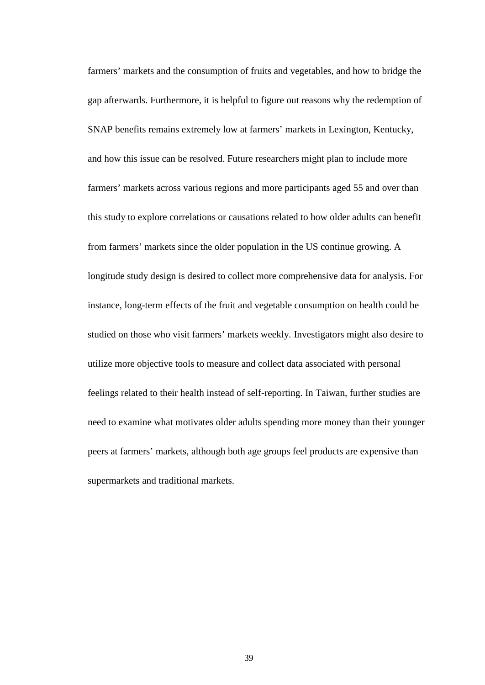farmers' markets and the consumption of fruits and vegetables, and how to bridge the gap afterwards. Furthermore, it is helpful to figure out reasons why the redemption of SNAP benefits remains extremely low at farmers' markets in Lexington, Kentucky, and how this issue can be resolved. Future researchers might plan to include more farmers' markets across various regions and more participants aged 55 and over than this study to explore correlations or causations related to how older adults can benefit from farmers' markets since the older population in the US continue growing. A longitude study design is desired to collect more comprehensive data for analysis. For instance, long-term effects of the fruit and vegetable consumption on health could be studied on those who visit farmers' markets weekly. Investigators might also desire to utilize more objective tools to measure and collect data associated with personal feelings related to their health instead of self-reporting. In Taiwan, further studies are need to examine what motivates older adults spending more money than their younger peers at farmers' markets, although both age groups feel products are expensive than supermarkets and traditional markets.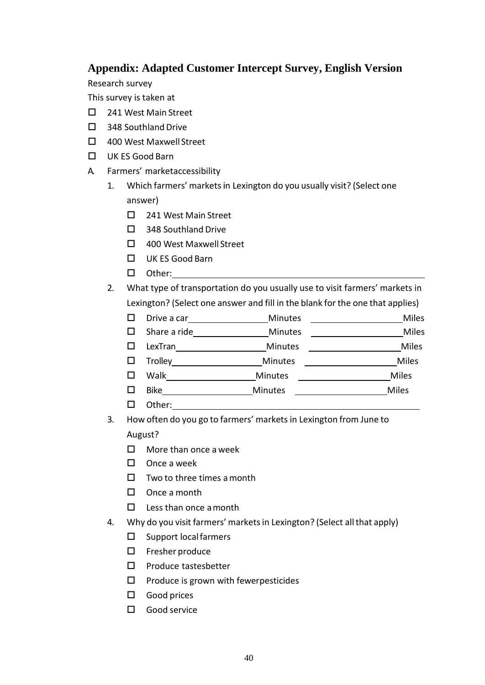# <span id="page-47-0"></span>**Appendix: Adapted Customer Intercept Survey, English Version**

Research survey

This survey is taken at

- □ 241 West Main Street
- □ 348 Southland Drive
- □ 400 West Maxwell Street
- UK ES Good Barn
- A. Farmers' marketaccessibility
	- 1. Which farmers' marketsin Lexington do you usually visit? (Select one answer)
		- □ 241 West Main Street
		- □ 348 Southland Drive
		- □ 400 West Maxwell Street
		- UK ES Good Barn
		- □ Other:
	- 2. What type of transportation do you usually use to visit farmers' markets in Lexington? (Select one answer and fill in the blank for the one that applies)
		- Drive a car Minutes Miles
		- Share a ride Minutes Miles
		- LexTran Minutes Miles
		- Trolley Minutes Miles
		- $\square$  Walk Minutes Minutes Minutes Miles
		- Bike Minutes Miles
		- □ Other:
	- 3. How often do you go to farmers' markets in Lexington from June to August?
		- $\Box$  More than once a week
		- $\square$  Once a week
		- $\square$  Two to three times a month
		- $\square$  Once a month
		- $\square$  Less than once a month
	- 4. Why do you visit farmers' markets in Lexington? (Select all that apply)
		- $\square$  Support local farmers
		- $\square$  Fresher produce
		- $\square$  Produce tastesbetter
		- $\square$  Produce is grown with fewerpesticides
		- □ Good prices
		- Good service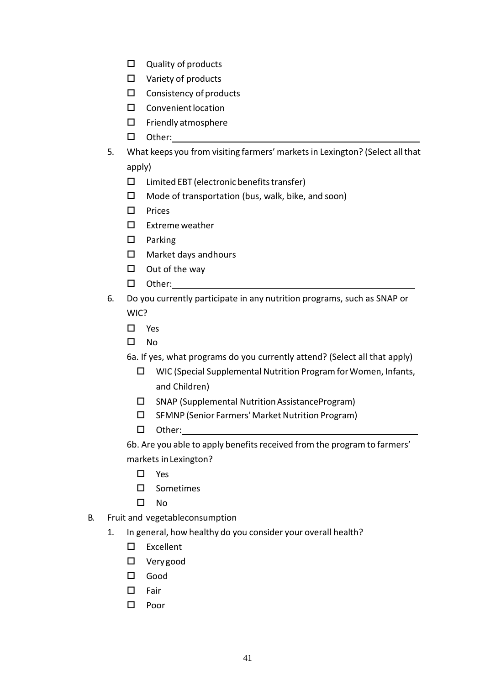- $\Box$  Quality of products
- Variety of products
- $\square$  Consistency of products
- Convenientlocation
- $\square$  Friendly atmosphere
- D Other:
- 5. What keeps you from visiting farmers' markets in Lexington? (Select all that apply)
	- $\square$  Limited EBT (electronic benefits transfer)
	- $\Box$  Mode of transportation (bus, walk, bike, and soon)
	- $\square$  Prices
	- $\square$  Extreme weather
	- $\square$  Parking
	- $\Box$  Market days andhours
	- $\square$  Out of the way
	- □ Other:
- 6. Do you currently participate in any nutrition programs, such as SNAP or WIC?
	- □ Yes
	- $\square$  No

6a. If yes, what programs do you currently attend? (Select all that apply)

- □ WIC (Special Supplemental Nutrition Program for Women, Infants, and Children)
- □ SNAP (Supplemental Nutrition AssistanceProgram)
- $\square$  SFMNP (Senior Farmers' Market Nutrition Program)
- □ Other:

6b. Are you able to apply benefits received from the program to farmers' markets inLexington?

- □ Yes
- $\square$  Sometimes
- $\square$  No
- B. Fruit and vegetableconsumption
	- 1. In general, how healthy do you consider your overall health?
		- Excellent
		- Very good
		- Good
		- $\square$  Fair
		- $\square$  Poor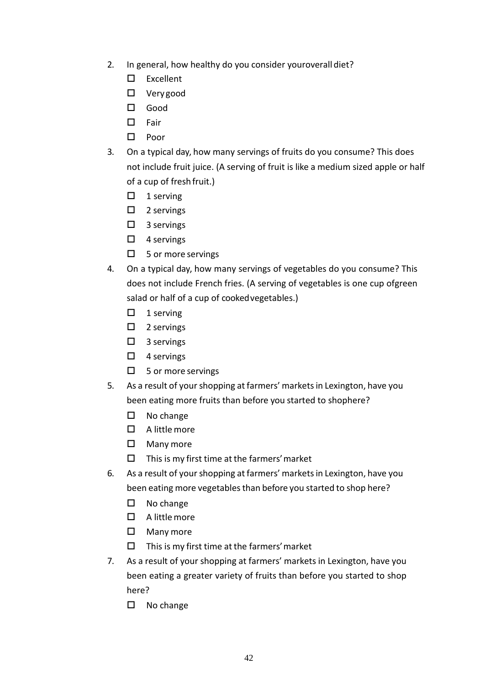- 2. In general, how healthy do you consider youroverall diet?
	- Excellent
	- Very good
	- Good
	- $\square$  Fair
	- $\square$  Poor
- 3. On a typical day, how many servings of fruits do you consume? This does not include fruit juice. (A serving of fruit is like a medium sized apple or half of a cup of freshfruit.)
	- $\Box$  1 serving
	- $\Box$  2 servings
	- $\square$  3 servings
	- $\Box$  4 servings
	- $\Box$  5 or more servings
- 4. On a typical day, how many servings of vegetables do you consume? This does not include French fries. (A serving of vegetables is one cup ofgreen salad or half of a cup of cookedvegetables.)
	- $\Box$  1 serving
	- $\Box$  2 servings
	- $\square$  3 servings
	- $\Box$  4 servings
	- □ 5 or more servings
- 5. As a result of your shopping at farmers' markets in Lexington, have you been eating more fruits than before you started to shophere?
	- $\square$  No change
	- $\Box$  A little more
	- Many more
	- $\Box$  This is my first time at the farmers' market
- 6. As a result of your shopping at farmers' markets in Lexington, have you been eating more vegetables than before you started to shop here?
	- $\square$  No change
	- $\Box$  A little more
	- Many more
	- $\Box$  This is my first time at the farmers' market
- 7. As a result of your shopping at farmers' markets in Lexington, have you been eating a greater variety of fruits than before you started to shop here?
	- $\square$  No change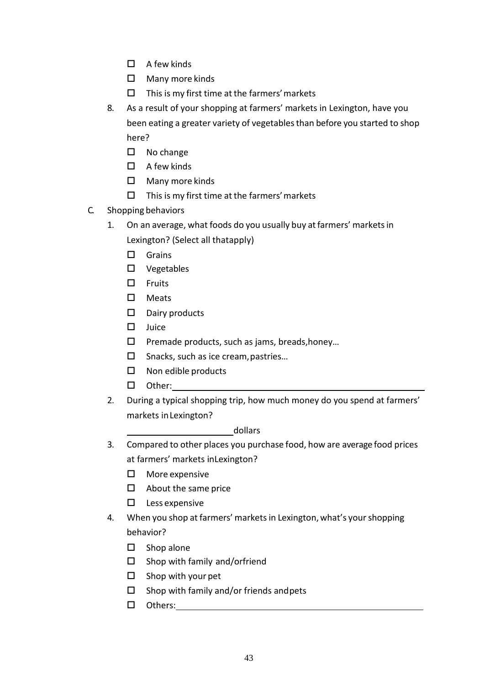- $\Box$  A few kinds
- □ Many more kinds
- $\square$  This is my first time at the farmers' markets
- 8. As a result of your shopping at farmers' markets in Lexington, have you been eating a greater variety of vegetablesthan before you started to shop here?
	- $\square$  No change
	- $\Box$  A few kinds
	- $\square$  Many more kinds
	- $\square$  This is my first time at the farmers' markets
- C. Shopping behaviors
	- 1. On an average, what foods do you usually buy atfarmers' marketsin Lexington? (Select all thatapply)
		- Grains
		- Vegetables
		- $\square$  Fruits
		- Meats
		- $\square$  Dairy products
		- $\square$  Juice
		- $\square$  Premade products, such as jams, breads, honey...
		- $\square$  Snacks, such as ice cream, pastries...
		- $\square$  Non edible products
		- Other:
	- 2. During a typical shopping trip, how much money do you spend at farmers' markets inLexington?

### dollars

- 3. Compared to other places you purchase food, how are average food prices at farmers' markets inLexington?
	- $\Box$  More expensive
	- $\Box$  About the same price
	- $\square$  Less expensive
- 4. When you shop at farmers' markets in Lexington, what's your shopping behavior?
	- $\square$  Shop alone
	- $\square$  Shop with family and/orfriend
	- $\square$  Shop with your pet
	- $\square$  Shop with family and/or friends and pets
	- □ Others: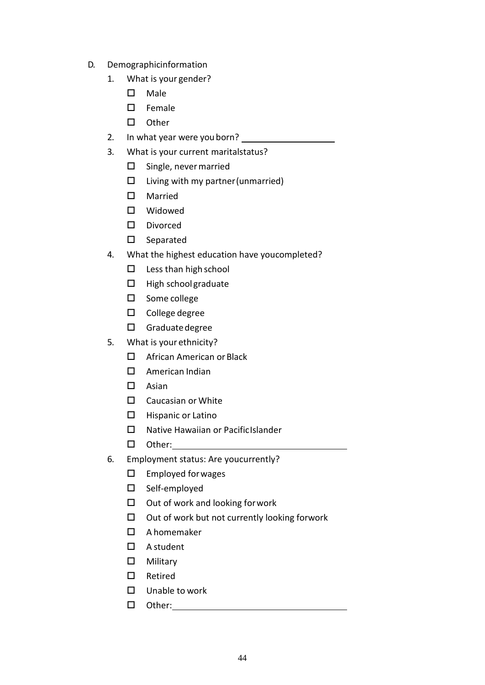- D. Demographicinformation
	- 1. What is your gender?
		- □ Male
		- $\square$  Female
		- $\square$  Other
	- 2. In what year were you born?
	- 3. What is your current maritalstatus?
		- $\square$  Single, never married
		- $\Box$  Living with my partner (unmarried)
		- Married
		- Widowed
		- Divorced
		- $\square$  Separated
	- 4. What the highest education have youcompleted?
		- $\square$  Less than high school
		- $\Box$  High school graduate
		- □ Some college
		- $\square$  College degree
		- $\Box$  Graduate degree
	- 5. What is your ethnicity?
		- □ African American or Black
		- American Indian
		- $\square$  Asian
		- □ Caucasian or White
		- $\Box$  Hispanic or Latino
		- $\square$  Native Hawaiian or Pacific Islander
		- □ Other: \_\_\_\_\_\_\_
	- 6. Employment status: Are youcurrently?
		- $\square$  Employed for wages
		- Self-employed
		- $\Box$  Out of work and looking for work
		- $\Box$  Out of work but not currently looking forwork
		- $\Box$  A homemaker
		- A student
		- Military
		- Retired
		- $\square$  Unable to work
		- Other: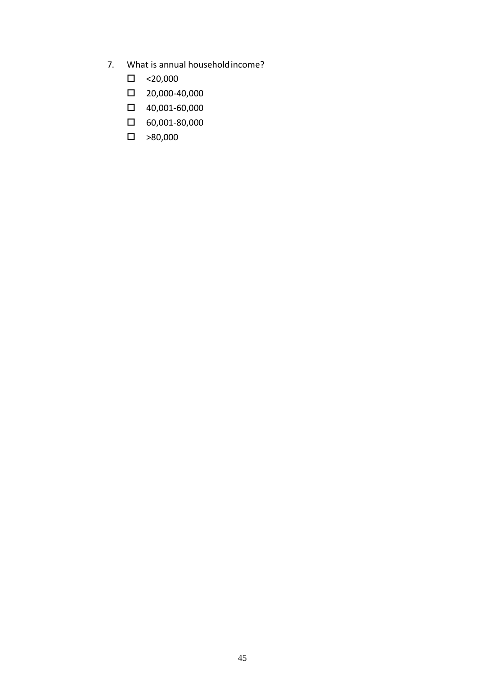- 7. What is annual householdincome?
	- $\Box$  <20,000
	- 20,000-40,000
	- 40,001-60,000
	- 60,001-80,000
	- $\Box$  >80,000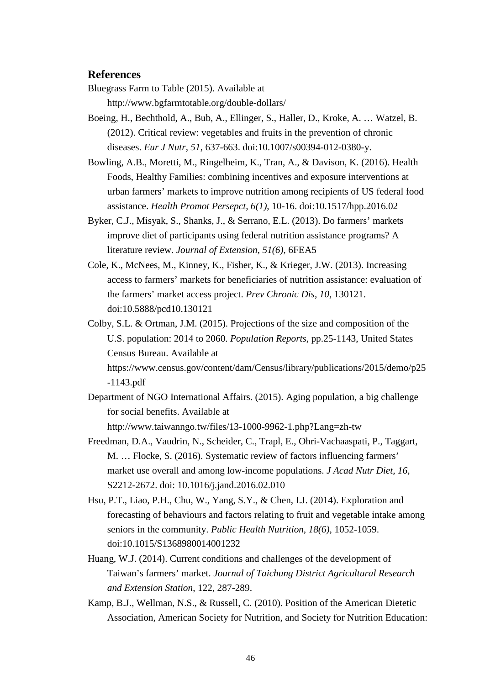### <span id="page-53-0"></span>**References**

- Bluegrass Farm to Table (2015). Available at <http://www.bgfarmtotable.org/double-dollars/>
- Boeing, H., Bechthold, A., Bub, A., Ellinger, S., Haller, D., Kroke, A. … Watzel, B. (2012). Critical review: vegetables and fruits in the prevention of chronic diseases. *Eur J Nutr, 51*, 637-663. doi:10.1007/s00394-012-0380-y.
- Bowling, A.B., Moretti, M., Ringelheim, K., Tran, A., & Davison, K. (2016). Health Foods, Healthy Families: combining incentives and exposure interventions at urban farmers' markets to improve nutrition among recipients of US federal food assistance. *Health Promot Persepct, 6(1)*, 10-16. doi:10.1517/hpp.2016.02
- Byker, C.J., Misyak, S., Shanks, J., & Serrano, E.L. (2013). Do farmers' markets improve diet of participants using federal nutrition assistance programs? A literature review. *Journal of Extension, 51(6)*, 6FEA5
- Cole, K., McNees, M., Kinney, K., Fisher, K., & Krieger, J.W. (2013). Increasing access to farmers' markets for beneficiaries of nutrition assistance: evaluation of the farmers' market access project. *Prev Chronic Dis, 10*, 130121. doi:10.5888/pcd10.130121
- Colby, S.L. & Ortman, J.M. (2015). Projections of the size and composition of the U.S. population: 2014 to 2060. *Population Reports*, pp.25-1143, United States Census Bureau. Available at https:/[/www.census.gov/content/dam/Census/library/publications/2015/demo/p25](http://www.census.gov/content/dam/Census/library/publications/2015/demo/p25) -1143.pdf
- Department of NGO International Affairs. (2015). Aging population, a big challenge for social benefits. Available at <http://www.taiwanngo.tw/files/13-1000-9962-1.php?Lang=zh-tw>
- Freedman, D.A., Vaudrin, N., Scheider, C., Trapl, E., Ohri-Vachaaspati, P., Taggart, M. … Flocke, S. (2016). Systematic review of factors influencing farmers' market use overall and among low-income populations. *J Acad Nutr Diet, 16*, S2212-2672. doi: 10.1016/j.jand.2016.02.010
- Hsu, P.T., Liao, P.H., Chu, W., Yang, S.Y., & Chen, I.J. (2014). Exploration and forecasting of behaviours and factors relating to fruit and vegetable intake among seniors in the community. *Public Health Nutrition, 18(6)*, 1052-1059. doi:10.1015/S1368980014001232
- Huang, W.J. (2014). Current conditions and challenges of the development of Taiwan's farmers' market. *Journal of Taichung District Agricultural Research and Extension Station*, 122, 287-289.
- Kamp, B.J., Wellman, N.S., & Russell, C. (2010). Position of the American Dietetic Association, American Society for Nutrition, and Society for Nutrition Education: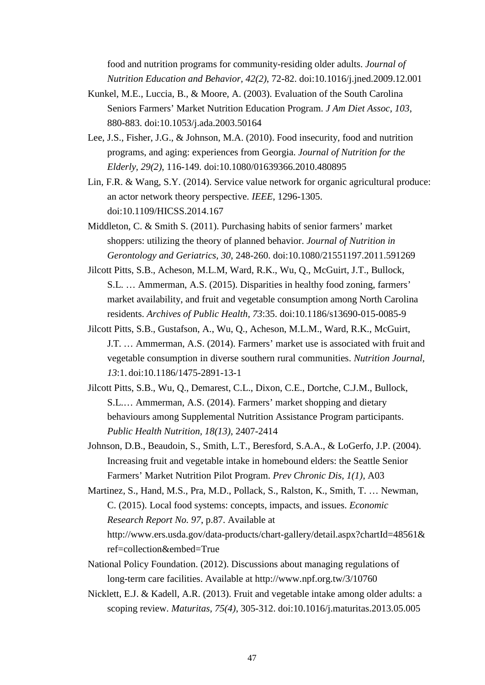food and nutrition programs for community-residing older adults. *Journal of Nutrition Education and Behavior, 42(2)*, 72-82. doi:10.1016/j.jned.2009.12.001

- Kunkel, M.E., Luccia, B., & Moore, A. (2003). Evaluation of the South Carolina Seniors Farmers' Market Nutrition Education Program. *J Am Diet Assoc, 103*, 880-883. doi:10.1053/j.ada.2003.50164
- Lee, J.S., Fisher, J.G., & Johnson, M.A. (2010). Food insecurity, food and nutrition programs, and aging: experiences from Georgia. *Journal of Nutrition for the Elderly, 29(2)*, 116-149. doi:10.1080/01639366.2010.480895
- Lin, F.R. & Wang, S.Y. (2014). Service value network for organic agricultural produce: an actor network theory perspective. *IEEE*, 1296-1305. doi:10.1109/HICSS.2014.167
- Middleton, C. & Smith S. (2011). Purchasing habits of senior farmers' market shoppers: utilizing the theory of planned behavior. *Journal of Nutrition in Gerontology and Geriatrics, 30*, 248-260. doi:10.1080/21551197.2011.591269
- Jilcott Pitts, S.B., Acheson, M.L.M, Ward, R.K., Wu, Q., McGuirt, J.T., Bullock, S.L. … Ammerman, A.S. (2015). Disparities in healthy food zoning, farmers' market availability, and fruit and vegetable consumption among North Carolina residents. *Archives of Public Health, 73*:35. doi:10.1186/s13690-015-0085-9
- Jilcott Pitts, S.B., Gustafson, A., Wu, Q., Acheson, M.L.M., Ward, R.K., McGuirt, J.T. … Ammerman, A.S. (2014). Farmers' market use is associated with fruit and vegetable consumption in diverse southern rural communities. *Nutrition Journal, 13*:1. doi:10.1186/1475-2891-13-1
- Jilcott Pitts, S.B., Wu, Q., Demarest, C.L., Dixon, C.E., Dortche, C.J.M., Bullock, S.L.… Ammerman, A.S. (2014). Farmers' market shopping and dietary behaviours among Supplemental Nutrition Assistance Program participants. *Public Health Nutrition, 18(13)*, 2407-2414
- Johnson, D.B., Beaudoin, S., Smith, L.T., Beresford, S.A.A., & LoGerfo, J.P. (2004). Increasing fruit and vegetable intake in homebound elders: the Seattle Senior Farmers' Market Nutrition Pilot Program. *Prev Chronic Dis, 1(1)*, A03
- Martinez, S., Hand, M.S., Pra, M.D., Pollack, S., Ralston, K., Smith, T. … Newman, C. (2015). Local food systems: concepts, impacts, and issues. *Economic Research Report No. 97*, p.87. Available at [http://www.ers.usda.gov/data-products/chart-gallery/detail.aspx?chartId=48561&](http://www.ers.usda.gov/data-products/chart-gallery/detail.aspx?chartId=48561) ref=collection&embed=True
- National Policy Foundation. (2012). Discussions about managing regulations of long-term care facilities. Available [at http://www.npf.org.tw/3/10760](http://www.npf.org.tw/3/10760)
- Nicklett, E.J. & Kadell, A.R. (2013). Fruit and vegetable intake among older adults: a scoping review. *Maturitas, 75(4)*, 305-312. doi:10.1016/j.maturitas.2013.05.005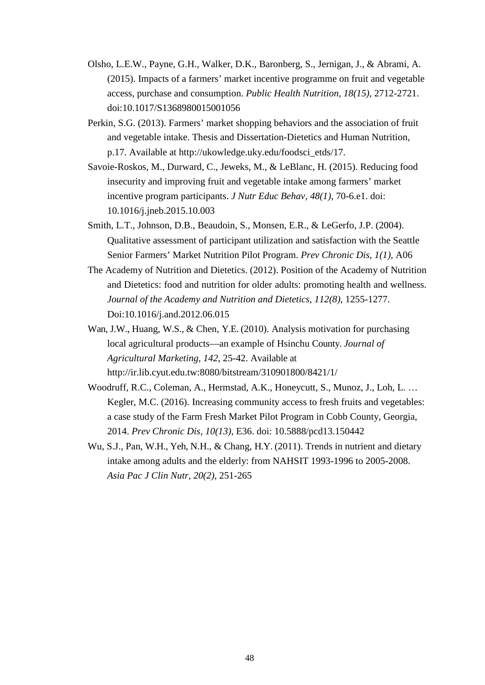- Olsho, L.E.W., Payne, G.H., Walker, D.K., Baronberg, S., Jernigan, J., & Abrami, A. (2015). Impacts of a farmers' market incentive programme on fruit and vegetable access, purchase and consumption. *Public Health Nutrition, 18(15)*, 2712-2721. doi:10.1017/S1368980015001056
- Perkin, S.G. (2013). Farmers' market shopping behaviors and the association of fruit and vegetable intake. Thesis and Dissertation-Dietetics and Human Nutrition, p.17. Available at [http://ukowledge.uky.edu/foodsci\\_etds/17.](http://ukowledge.uky.edu/foodsci_etds/17)
- Savoie-Roskos, M., Durward, C., Jeweks, M., & LeBlanc, H. (2015). Reducing food insecurity and improving fruit and vegetable intake among farmers' market incentive program participants. *J Nutr Educ Behav, 48(1)*, 70-6.e1. doi: 10.1016/j.jneb.2015.10.003
- Smith, L.T., Johnson, D.B., Beaudoin, S., Monsen, E.R., & LeGerfo, J.P. (2004). Qualitative assessment of participant utilization and satisfaction with the Seattle Senior Farmers' Market Nutrition Pilot Program. *Prev Chronic Dis, 1(1)*, A06
- The Academy of Nutrition and Dietetics. (2012). Position of the Academy of Nutrition and Dietetics: food and nutrition for older adults: promoting health and wellness. *Journal of the Academy and Nutrition and Dietetics, 112(8)*, 1255-1277. Doi:10.1016/j.and.2012.06.015
- Wan, J.W., Huang, W.S., & Chen, Y.E. (2010). Analysis motivation for purchasing local agricultural products—an example of Hsinchu County. *Journal of Agricultural Marketing, 142*, 25-42. Available at http://ir.lib.cyut.edu.tw:8080/bitstream/310901800/8421/1/
- Woodruff, R.C., Coleman, A., Hermstad, A.K., Honeycutt, S., Munoz, J., Loh, L. … Kegler, M.C. (2016). Increasing community access to fresh fruits and vegetables: a case study of the Farm Fresh Market Pilot Program in Cobb County, Georgia, 2014. *Prev Chronic Dis, 10(13)*, E36. doi: 10.5888/pcd13.150442
- Wu, S.J., Pan, W.H., Yeh, N.H., & Chang, H.Y. (2011). Trends in nutrient and dietary intake among adults and the elderly: from NAHSIT 1993-1996 to 2005-2008. *Asia Pac J Clin Nutr, 20(2)*, 251-265